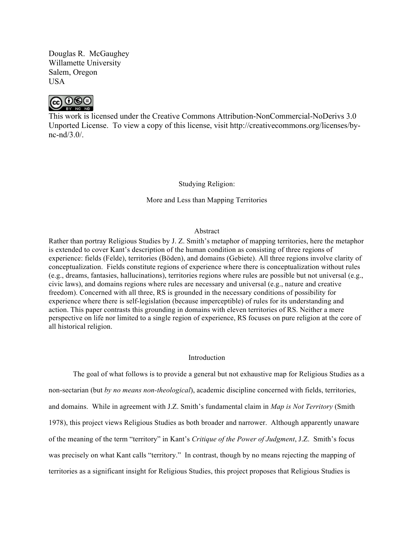Douglas R. McGaughey Willamette University Salem, Oregon USA



This work is licensed under the Creative Commons Attribution-NonCommercial-NoDerivs 3.0 Unported License. To view a copy of this license, visit http://creativecommons.org/licenses/bync-nd/3.0/.

Studying Religion:

More and Less than Mapping Territories

## Abstract

Rather than portray Religious Studies by J. Z. Smith's metaphor of mapping territories, here the metaphor is extended to cover Kant's description of the human condition as consisting of three regions of experience: fields (Felde), territories (Böden), and domains (Gebiete). All three regions involve clarity of conceptualization. Fields constitute regions of experience where there is conceptualization without rules (e.g., dreams, fantasies, hallucinations), territories regions where rules are possible but not universal (e.g., civic laws), and domains regions where rules are necessary and universal (e.g., nature and creative freedom). Concerned with all three, RS is grounded in the necessary conditions of possibility for experience where there is self-legislation (because imperceptible) of rules for its understanding and action. This paper contrasts this grounding in domains with eleven territories of RS. Neither a mere perspective on life nor limited to a single region of experience, RS focuses on pure religion at the core of all historical religion.

## Introduction

The goal of what follows is to provide a general but not exhaustive map for Religious Studies as a non-sectarian (but *by no means non-theological*), academic discipline concerned with fields, territories, and domains. While in agreement with J.Z. Smith's fundamental claim in *Map is Not Territory* (Smith 1978), this project views Religious Studies as both broader and narrower. Although apparently unaware of the meaning of the term "territory" in Kant's *Critique of the Power of Judgment*, J.Z. Smith's focus was precisely on what Kant calls "territory." In contrast, though by no means rejecting the mapping of territories as a significant insight for Religious Studies, this project proposes that Religious Studies is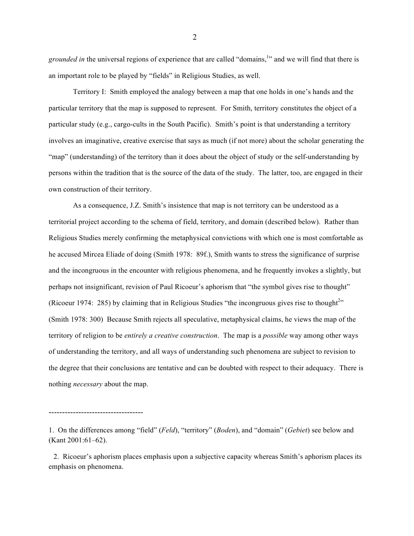grounded in the universal regions of experience that are called "domains,<sup>1</sup>" and we will find that there is an important role to be played by "fields" in Religious Studies, as well.

Territory I: Smith employed the analogy between a map that one holds in one's hands and the particular territory that the map is supposed to represent. For Smith, territory constitutes the object of a particular study (e.g., cargo-cults in the South Pacific). Smith's point is that understanding a territory involves an imaginative, creative exercise that says as much (if not more) about the scholar generating the "map" (understanding) of the territory than it does about the object of study or the self-understanding by persons within the tradition that is the source of the data of the study. The latter, too, are engaged in their own construction of their territory.

As a consequence, J.Z. Smith's insistence that map is not territory can be understood as a territorial project according to the schema of field, territory, and domain (described below). Rather than Religious Studies merely confirming the metaphysical convictions with which one is most comfortable as he accused Mircea Eliade of doing (Smith 1978: 89f.), Smith wants to stress the significance of surprise and the incongruous in the encounter with religious phenomena, and he frequently invokes a slightly, but perhaps not insignificant, revision of Paul Ricoeur's aphorism that "the symbol gives rise to thought" (Ricoeur 1974: 285) by claiming that in Religious Studies "the incongruous gives rise to thought<sup>2</sup>" (Smith 1978: 300) Because Smith rejects all speculative, metaphysical claims, he views the map of the territory of religion to be *entirely a creative construction*. The map is a *possible* way among other ways of understanding the territory, and all ways of understanding such phenomena are subject to revision to the degree that their conclusions are tentative and can be doubted with respect to their adequacy. There is nothing *necessary* about the map.

-----------------------------------

<sup>1.</sup> On the differences among "field" (*Feld*), "territory" (*Boden*), and "domain" (*Gebiet*) see below and (Kant 2001:61–62).

<sup>2.</sup> Ricoeur's aphorism places emphasis upon a subjective capacity whereas Smith's aphorism places its emphasis on phenomena.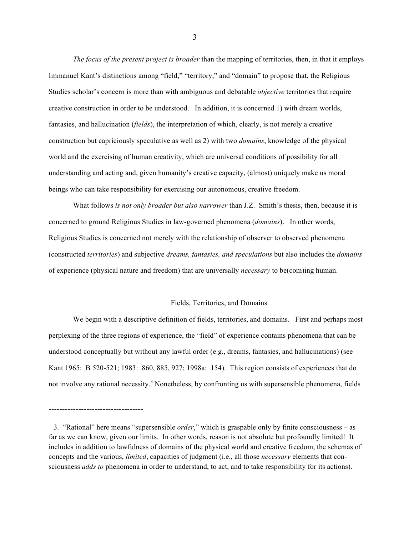*The focus of the present project is broader* than the mapping of territories, then, in that it employs Immanuel Kant's distinctions among "field," "territory," and "domain" to propose that, the Religious Studies scholar's concern is more than with ambiguous and debatable *objective* territories that require creative construction in order to be understood. In addition, it is concerned 1) with dream worlds, fantasies, and hallucination (*fields*), the interpretation of which, clearly, is not merely a creative construction but capriciously speculative as well as 2) with two *domains*, knowledge of the physical world and the exercising of human creativity, which are universal conditions of possibility for all understanding and acting and, given humanity's creative capacity, (almost) uniquely make us moral beings who can take responsibility for exercising our autonomous, creative freedom.

What follows *is not only broader but also narrower* than J.Z. Smith's thesis, then, because it is concerned to ground Religious Studies in law-governed phenomena (*domains*). In other words, Religious Studies is concerned not merely with the relationship of observer to observed phenomena (constructed *territories*) and subjective *dreams, fantasies, and speculations* but also includes the *domains* of experience (physical nature and freedom) that are universally *necessary* to be(com)ing human.

## Fields, Territories, and Domains

We begin with a descriptive definition of fields, territories, and domains. First and perhaps most perplexing of the three regions of experience, the "field" of experience contains phenomena that can be understood conceptually but without any lawful order (e.g., dreams, fantasies, and hallucinations) (see Kant 1965: B 520-521; 1983: 860, 885, 927; 1998a: 154). This region consists of experiences that do not involve any rational necessity.<sup>3</sup> Nonetheless, by confronting us with supersensible phenomena, fields

-----------------------------------

<sup>3. &</sup>quot;Rational" here means "supersensible *order*," which is graspable only by finite consciousness – as far as we can know, given our limits. In other words, reason is not absolute but profoundly limited! It includes in addition to lawfulness of domains of the physical world and creative freedom, the schemas of concepts and the various, *limited*, capacities of judgment (i.e., all those *necessary* elements that consciousness *adds to* phenomena in order to understand, to act, and to take responsibility for its actions).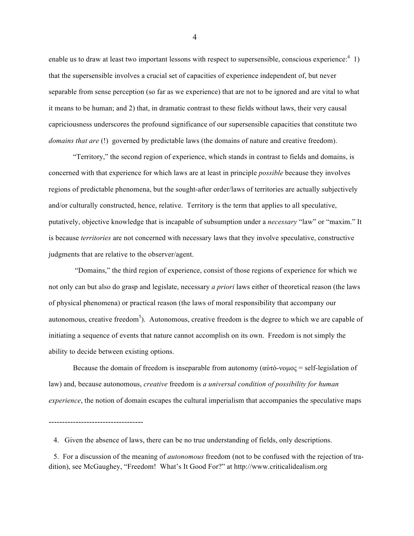enable us to draw at least two important lessons with respect to supersensible, conscious experience:<sup>4</sup> 1) that the supersensible involves a crucial set of capacities of experience independent of, but never separable from sense perception (so far as we experience) that are not to be ignored and are vital to what it means to be human; and 2) that, in dramatic contrast to these fields without laws, their very causal capriciousness underscores the profound significance of our supersensible capacities that constitute two *domains that are* (!) governed by predictable laws (the domains of nature and creative freedom).

"Territory," the second region of experience, which stands in contrast to fields and domains, is concerned with that experience for which laws are at least in principle *possible* because they involves regions of predictable phenomena, but the sought-after order/laws of territories are actually subjectively and/or culturally constructed, hence, relative. Territory is the term that applies to all speculative, putatively, objective knowledge that is incapable of subsumption under a *necessary* "law" or "maxim." It is because *territories* are not concerned with necessary laws that they involve speculative, constructive judgments that are relative to the observer/agent.

 "Domains," the third region of experience, consist of those regions of experience for which we not only can but also do grasp and legislate, necessary *a priori* laws either of theoretical reason (the laws of physical phenomena) or practical reason (the laws of moral responsibility that accompany our autonomous, creative freedom<sup>5</sup>). Autonomous, creative freedom is the degree to which we are capable of initiating a sequence of events that nature cannot accomplish on its own. Freedom is not simply the ability to decide between existing options.

Because the domain of freedom is inseparable from autonomy ( $\alpha\dot{\alpha}$ -νομος = self-legislation of law) and, because autonomous, *creative* freedom is *a universal condition of possibility for human experience*, the notion of domain escapes the cultural imperialism that accompanies the speculative maps

-----------------------------------

<sup>4.</sup> Given the absence of laws, there can be no true understanding of fields, only descriptions.

<sup>5.</sup> For a discussion of the meaning of *autonomous* freedom (not to be confused with the rejection of tradition), see McGaughey, "Freedom! What's It Good For?" at http://www.criticalidealism.org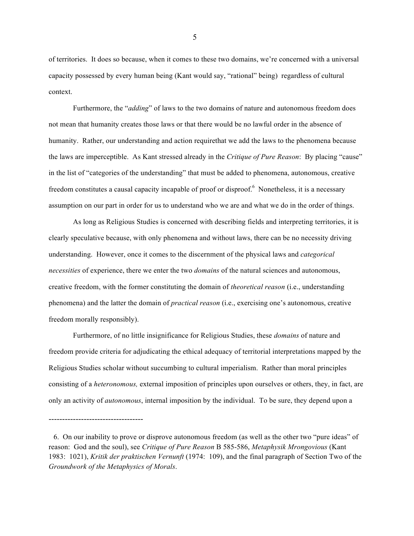of territories. It does so because, when it comes to these two domains, we're concerned with a universal capacity possessed by every human being (Kant would say, "rational" being) regardless of cultural context.

Furthermore, the "*adding*" of laws to the two domains of nature and autonomous freedom does not mean that humanity creates those laws or that there would be no lawful order in the absence of humanity. Rather, our understanding and action requirethat we add the laws to the phenomena because the laws are imperceptible. As Kant stressed already in the *Critique of Pure Reason*: By placing "cause" in the list of "categories of the understanding" that must be added to phenomena, autonomous, creative freedom constitutes a causal capacity incapable of proof or disproof.<sup>6</sup> Nonetheless, it is a necessary assumption on our part in order for us to understand who we are and what we do in the order of things.

As long as Religious Studies is concerned with describing fields and interpreting territories, it is clearly speculative because, with only phenomena and without laws, there can be no necessity driving understanding. However, once it comes to the discernment of the physical laws and *categorical necessities* of experience, there we enter the two *domains* of the natural sciences and autonomous, creative freedom, with the former constituting the domain of *theoretical reason* (i.e., understanding phenomena) and the latter the domain of *practical reason* (i.e., exercising one's autonomous, creative freedom morally responsibly).

Furthermore, of no little insignificance for Religious Studies, these *domains* of nature and freedom provide criteria for adjudicating the ethical adequacy of territorial interpretations mapped by the Religious Studies scholar without succumbing to cultural imperialism. Rather than moral principles consisting of a *heteronomous,* external imposition of principles upon ourselves or others, they, in fact, are only an activity of *autonomous*, internal imposition by the individual. To be sure, they depend upon a

-----------------------------------

<sup>6.</sup> On our inability to prove or disprove autonomous freedom (as well as the other two "pure ideas" of reason: God and the soul), see *Critique of Pure Reason* B 585-586, *Metaphysik Mrongovious* (Kant 1983: 1021), *Kritik der praktischen Vernunft* (1974: 109), and the final paragraph of Section Two of the *Groundwork of the Metaphysics of Morals*.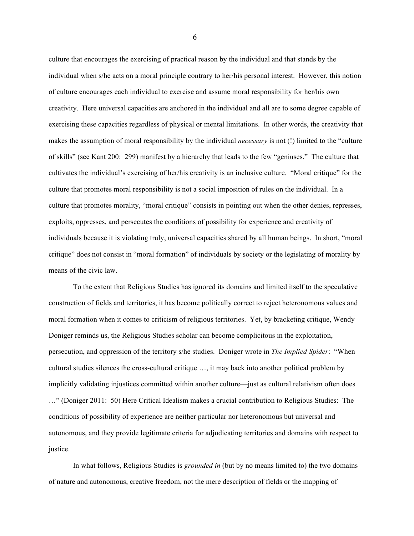culture that encourages the exercising of practical reason by the individual and that stands by the individual when s/he acts on a moral principle contrary to her/his personal interest. However, this notion of culture encourages each individual to exercise and assume moral responsibility for her/his own creativity. Here universal capacities are anchored in the individual and all are to some degree capable of exercising these capacities regardless of physical or mental limitations. In other words, the creativity that makes the assumption of moral responsibility by the individual *necessary* is not (!) limited to the "culture of skills" (see Kant 200: 299) manifest by a hierarchy that leads to the few "geniuses." The culture that cultivates the individual's exercising of her/his creativity is an inclusive culture. "Moral critique" for the culture that promotes moral responsibility is not a social imposition of rules on the individual. In a culture that promotes morality, "moral critique" consists in pointing out when the other denies, represses, exploits, oppresses, and persecutes the conditions of possibility for experience and creativity of individuals because it is violating truly, universal capacities shared by all human beings. In short, "moral critique" does not consist in "moral formation" of individuals by society or the legislating of morality by means of the civic law.

To the extent that Religious Studies has ignored its domains and limited itself to the speculative construction of fields and territories, it has become politically correct to reject heteronomous values and moral formation when it comes to criticism of religious territories. Yet, by bracketing critique, Wendy Doniger reminds us, the Religious Studies scholar can become complicitous in the exploitation, persecution, and oppression of the territory s/he studies. Doniger wrote in *The Implied Spider*: "When cultural studies silences the cross-cultural critique …, it may back into another political problem by implicitly validating injustices committed within another culture—just as cultural relativism often does …" (Doniger 2011: 50) Here Critical Idealism makes a crucial contribution to Religious Studies: The conditions of possibility of experience are neither particular nor heteronomous but universal and autonomous, and they provide legitimate criteria for adjudicating territories and domains with respect to justice.

In what follows, Religious Studies is *grounded in* (but by no means limited to) the two domains of nature and autonomous, creative freedom, not the mere description of fields or the mapping of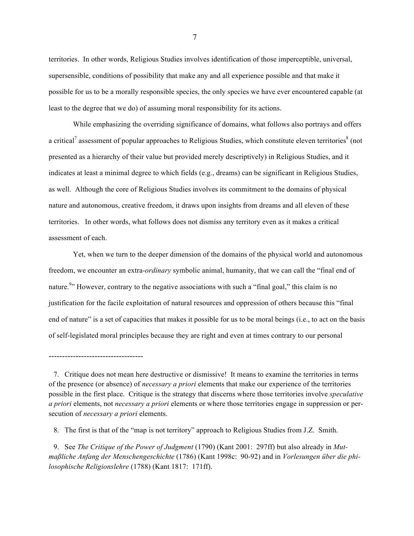territories. In other words, Religious Studies involves identification of those imperceptible, universal, supersensible, conditions of possibility that make any and all experience possible and that make it possible for us to be a morally responsible species, the only species we have ever encountered capable (at least to the degree that we do) of assuming moral responsibility for its actions.

While emphasizing the overriding significance of domains, what follows also portrays and offers a critical<sup>7</sup> assessment of popular approaches to Religious Studies, which constitute eleven territories<sup>8</sup> (not presented as a hierarchy of their value but provided merely descriptively) in Religious Studies, and it indicates at least a minimal degree to which fields (e.g., dreams) can be significant in Religious Studies, as well. Although the core of Religious Studies involves its commitment to the domains of physical nature and autonomous, creative freedom, it draws upon insights from dreams and all eleven of these territories. In other words, what follows does not dismiss any territory even as it makes a critical assessment of each.

Yet, when we turn to the deeper dimension of the domains of the physical world and autonomous freedom, we encounter an extra-*ordinary* symbolic animal, humanity, that we can call the "final end of nature.<sup>9</sup>" However, contrary to the negative associations with such a "final goal," this claim is no justification for the facile exploitation of natural resources and oppression of others because this "final end of nature" is a set of capacities that makes it possible for us to be moral beings (i.e., to act on the basis of self-legislated moral principles because they are right and even at times contrary to our personal

<sup>7.</sup> Critique does not mean here destructive or dismissive! It means to examine the territories in terms of the presence (or absence) of *necessary a priori* elements that make our experience of the territories possible in the first place. Critique is the strategy that discerns where those territories involve *speculative a priori* elements, not *necessary a priori* elements or where those territories engage in suppression or persecution of *necessary a priori* elements.

<sup>8.</sup> The first is that of the "map is not territory" approach to Religious Studies from J.Z. Smith.

<sup>9.</sup> See *The Critique of the Power of Judgment* (1790) (Kant 2001: 297ff) but also already in *Mutmaßliche Anfang der Menschengeschichte* (1786) (Kant 1998c: 90-92) and in *Vorlesungen über die philosophische Religionslehre* (1788) (Kant 1817: 171ff).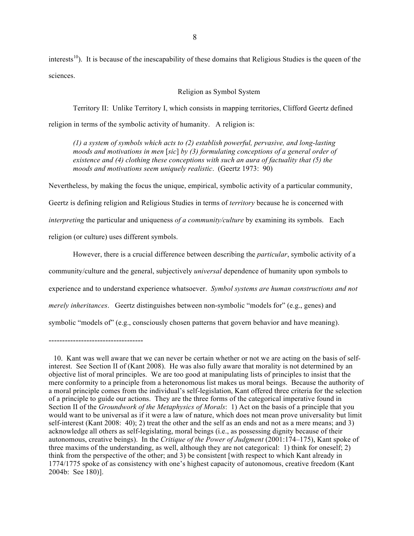interests<sup>10</sup>). It is because of the inescapability of these domains that Religious Studies is the queen of the sciences.

### Religion as Symbol System

Territory II: Unlike Territory I, which consists in mapping territories, Clifford Geertz defined religion in terms of the symbolic activity of humanity. A religion is:

*(1) a system of symbols which acts to (2) establish powerful, pervasive, and long-lasting moods and motivations in men* [*sic*] *by (3) formulating conceptions of a general order of existence and (4) clothing these conceptions with such an aura of factuality that (5) the moods and motivations seem uniquely realistic*. (Geertz 1973: 90)

Nevertheless, by making the focus the unique, empirical, symbolic activity of a particular community,

Geertz is defining religion and Religious Studies in terms of *territory* because he is concerned with

*interpreting* the particular and uniqueness *of a community/culture* by examining its symbols. Each

religion (or culture) uses different symbols.

However, there is a crucial difference between describing the *particular*, symbolic activity of a community/culture and the general, subjectively *universal* dependence of humanity upon symbols to experience and to understand experience whatsoever. *Symbol systems are human constructions and not merely inheritances*. Geertz distinguishes between non-symbolic "models for" (e.g., genes) and symbolic "models of" (e.g., consciously chosen patterns that govern behavior and have meaning).

<sup>-----------------------------------</sup>

<sup>10.</sup> Kant was well aware that we can never be certain whether or not we are acting on the basis of selfinterest. See Section II of (Kant 2008). He was also fully aware that morality is not determined by an objective list of moral principles. We are too good at manipulating lists of principles to insist that the mere conformity to a principle from a heteronomous list makes us moral beings. Because the authority of a moral principle comes from the individual's self-legislation, Kant offered three criteria for the selection of a principle to guide our actions. They are the three forms of the categorical imperative found in Section II of the *Groundwork of the Metaphysics of Morals*: 1) Act on the basis of a principle that you would want to be universal as if it were a law of nature, which does not mean prove universality but limit self-interest (Kant 2008: 40); 2) treat the other and the self as an ends and not as a mere means; and 3) acknowledge all others as self-legislating, moral beings (i.e., as possessing dignity because of their autonomous, creative beings). In the *Critique of the Power of Judgment* (2001:174–175), Kant spoke of three maxims of the understanding, as well, although they are not categorical: 1) think for oneself; 2) think from the perspective of the other; and 3) be consistent [with respect to which Kant already in 1774/1775 spoke of as consistency with one's highest capacity of autonomous, creative freedom (Kant 2004b: See 180)].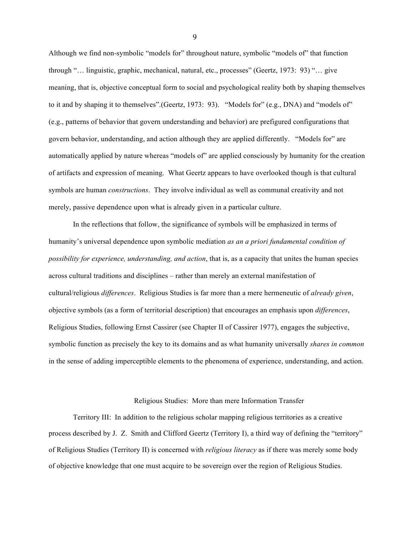Although we find non-symbolic "models for" throughout nature, symbolic "models of" that function through "… linguistic, graphic, mechanical, natural, etc., processes" (Geertz, 1973: 93) "… give meaning, that is, objective conceptual form to social and psychological reality both by shaping themselves to it and by shaping it to themselves".(Geertz, 1973: 93). "Models for" (e.g., DNA) and "models of" (e.g., patterns of behavior that govern understanding and behavior) are prefigured configurations that govern behavior, understanding, and action although they are applied differently. "Models for" are automatically applied by nature whereas "models of" are applied consciously by humanity for the creation of artifacts and expression of meaning. What Geertz appears to have overlooked though is that cultural symbols are human *constructions*. They involve individual as well as communal creativity and not merely, passive dependence upon what is already given in a particular culture.

In the reflections that follow, the significance of symbols will be emphasized in terms of humanity's universal dependence upon symbolic mediation *as an a priori fundamental condition of possibility for experience, understanding, and action*, that is, as a capacity that unites the human species across cultural traditions and disciplines – rather than merely an external manifestation of cultural/religious *differences*. Religious Studies is far more than a mere hermeneutic of *already given*, objective symbols (as a form of territorial description) that encourages an emphasis upon *differences*, Religious Studies, following Ernst Cassirer (see Chapter II of Cassirer 1977), engages the subjective, symbolic function as precisely the key to its domains and as what humanity universally *shares in common*  in the sense of adding imperceptible elements to the phenomena of experience, understanding, and action.

#### Religious Studies: More than mere Information Transfer

Territory III: In addition to the religious scholar mapping religious territories as a creative process described by J. Z. Smith and Clifford Geertz (Territory I), a third way of defining the "territory" of Religious Studies (Territory II) is concerned with *religious literacy* as if there was merely some body of objective knowledge that one must acquire to be sovereign over the region of Religious Studies.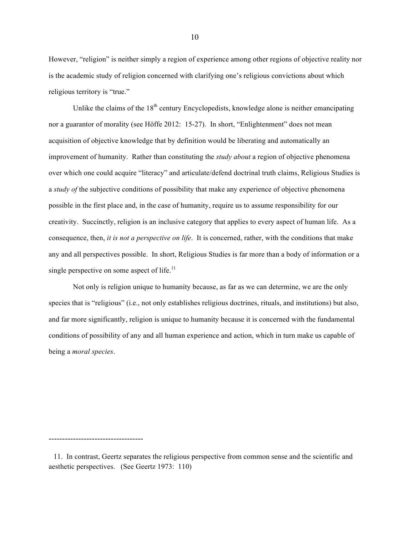However, "religion" is neither simply a region of experience among other regions of objective reality nor is the academic study of religion concerned with clarifying one's religious convictions about which religious territory is "true."

Unlike the claims of the 18<sup>th</sup> century Encyclopedists, knowledge alone is neither emancipating nor a guarantor of morality (see Höffe 2012: 15-27). In short, "Enlightenment" does not mean acquisition of objective knowledge that by definition would be liberating and automatically an improvement of humanity. Rather than constituting the *study about* a region of objective phenomena over which one could acquire "literacy" and articulate/defend doctrinal truth claims, Religious Studies is a *study of* the subjective conditions of possibility that make any experience of objective phenomena possible in the first place and, in the case of humanity, require us to assume responsibility for our creativity. Succinctly, religion is an inclusive category that applies to every aspect of human life. As a consequence, then, *it is not a perspective on life*. It is concerned, rather, with the conditions that make any and all perspectives possible. In short, Religious Studies is far more than a body of information or a single perspective on some aspect of life. $^{11}$ 

Not only is religion unique to humanity because, as far as we can determine, we are the only species that is "religious" (i.e., not only establishes religious doctrines, rituals, and institutions) but also, and far more significantly, religion is unique to humanity because it is concerned with the fundamental conditions of possibility of any and all human experience and action, which in turn make us capable of being a *moral species*.

<sup>11.</sup> In contrast, Geertz separates the religious perspective from common sense and the scientific and aesthetic perspectives. (See Geertz 1973: 110)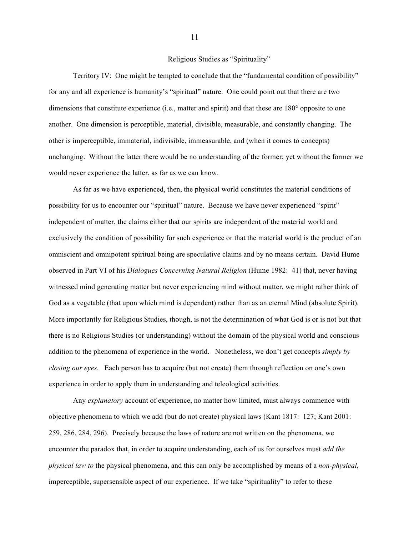## Religious Studies as "Spirituality"

Territory IV: One might be tempted to conclude that the "fundamental condition of possibility" for any and all experience is humanity's "spiritual" nature. One could point out that there are two dimensions that constitute experience (i.e., matter and spirit) and that these are 180° opposite to one another. One dimension is perceptible, material, divisible, measurable, and constantly changing. The other is imperceptible, immaterial, indivisible, immeasurable, and (when it comes to concepts) unchanging. Without the latter there would be no understanding of the former; yet without the former we would never experience the latter, as far as we can know.

As far as we have experienced, then, the physical world constitutes the material conditions of possibility for us to encounter our "spiritual" nature. Because we have never experienced "spirit" independent of matter, the claims either that our spirits are independent of the material world and exclusively the condition of possibility for such experience or that the material world is the product of an omniscient and omnipotent spiritual being are speculative claims and by no means certain. David Hume observed in Part VI of his *Dialogues Concerning Natural Religion* (Hume 1982: 41) that, never having witnessed mind generating matter but never experiencing mind without matter, we might rather think of God as a vegetable (that upon which mind is dependent) rather than as an eternal Mind (absolute Spirit). More importantly for Religious Studies, though, is not the determination of what God is or is not but that there is no Religious Studies (or understanding) without the domain of the physical world and conscious addition to the phenomena of experience in the world. Nonetheless, we don't get concepts *simply by closing our eyes*. Each person has to acquire (but not create) them through reflection on one's own experience in order to apply them in understanding and teleological activities.

Any *explanatory* account of experience, no matter how limited, must always commence with objective phenomena to which we add (but do not create) physical laws (Kant 1817: 127; Kant 2001: 259, 286, 284, 296). Precisely because the laws of nature are not written on the phenomena, we encounter the paradox that, in order to acquire understanding, each of us for ourselves must *add the physical law to* the physical phenomena, and this can only be accomplished by means of a *non-physical*, imperceptible, supersensible aspect of our experience. If we take "spirituality" to refer to these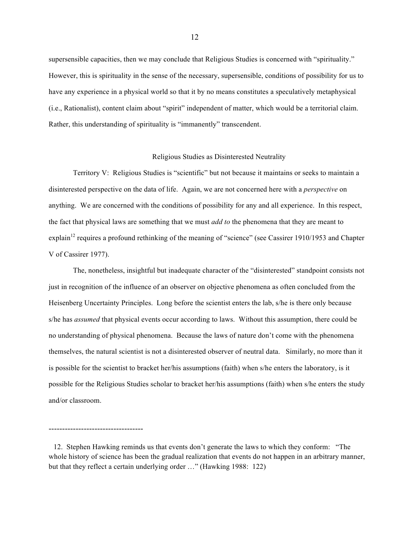supersensible capacities, then we may conclude that Religious Studies is concerned with "spirituality." However, this is spirituality in the sense of the necessary, supersensible, conditions of possibility for us to have any experience in a physical world so that it by no means constitutes a speculatively metaphysical (i.e., Rationalist), content claim about "spirit" independent of matter, which would be a territorial claim. Rather, this understanding of spirituality is "immanently" transcendent.

## Religious Studies as Disinterested Neutrality

Territory V: Religious Studies is "scientific" but not because it maintains or seeks to maintain a disinterested perspective on the data of life. Again, we are not concerned here with a *perspective* on anything. We are concerned with the conditions of possibility for any and all experience. In this respect, the fact that physical laws are something that we must *add to* the phenomena that they are meant to explain<sup>12</sup> requires a profound rethinking of the meaning of "science" (see Cassirer 1910/1953 and Chapter V of Cassirer 1977).

The, nonetheless, insightful but inadequate character of the "disinterested" standpoint consists not just in recognition of the influence of an observer on objective phenomena as often concluded from the Heisenberg Uncertainty Principles. Long before the scientist enters the lab, s/he is there only because s/he has *assumed* that physical events occur according to laws. Without this assumption, there could be no understanding of physical phenomena. Because the laws of nature don't come with the phenomena themselves, the natural scientist is not a disinterested observer of neutral data. Similarly, no more than it is possible for the scientist to bracket her/his assumptions (faith) when s/he enters the laboratory, is it possible for the Religious Studies scholar to bracket her/his assumptions (faith) when s/he enters the study and/or classroom.

<sup>12.</sup> Stephen Hawking reminds us that events don't generate the laws to which they conform: "The whole history of science has been the gradual realization that events do not happen in an arbitrary manner, but that they reflect a certain underlying order …" (Hawking 1988: 122)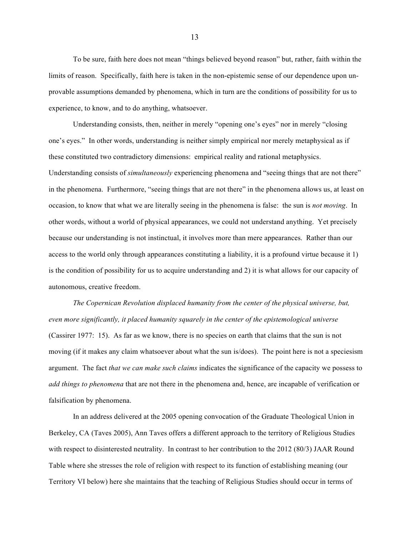To be sure, faith here does not mean "things believed beyond reason" but, rather, faith within the limits of reason. Specifically, faith here is taken in the non-epistemic sense of our dependence upon unprovable assumptions demanded by phenomena, which in turn are the conditions of possibility for us to experience, to know, and to do anything, whatsoever.

Understanding consists, then, neither in merely "opening one's eyes" nor in merely "closing one's eyes." In other words, understanding is neither simply empirical nor merely metaphysical as if these constituted two contradictory dimensions: empirical reality and rational metaphysics. Understanding consists of *simultaneously* experiencing phenomena and "seeing things that are not there" in the phenomena. Furthermore, "seeing things that are not there" in the phenomena allows us, at least on occasion, to know that what we are literally seeing in the phenomena is false: the sun is *not moving*. In other words, without a world of physical appearances, we could not understand anything. Yet precisely because our understanding is not instinctual, it involves more than mere appearances. Rather than our access to the world only through appearances constituting a liability, it is a profound virtue because it 1) is the condition of possibility for us to acquire understanding and 2) it is what allows for our capacity of autonomous, creative freedom.

*The Copernican Revolution displaced humanity from the center of the physical universe, but, even more significantly, it placed humanity squarely in the center of the epistemological universe* (Cassirer 1977: 15). As far as we know, there is no species on earth that claims that the sun is not moving (if it makes any claim whatsoever about what the sun is/does). The point here is not a speciesism argument. The fact *that we can make such claims* indicates the significance of the capacity we possess to *add things to phenomena* that are not there in the phenomena and, hence, are incapable of verification or falsification by phenomena.

In an address delivered at the 2005 opening convocation of the Graduate Theological Union in Berkeley, CA (Taves 2005), Ann Taves offers a different approach to the territory of Religious Studies with respect to disinterested neutrality. In contrast to her contribution to the 2012 (80/3) JAAR Round Table where she stresses the role of religion with respect to its function of establishing meaning (our Territory VI below) here she maintains that the teaching of Religious Studies should occur in terms of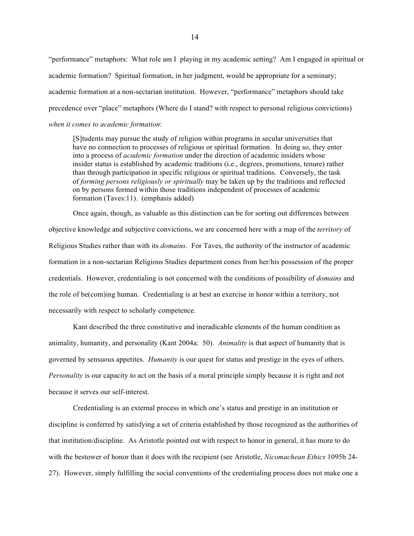"performance" metaphors: What role am I playing in my academic setting? Am I engaged in spiritual or academic formation? Spiritual formation, in her judgment, would be appropriate for a seminary; academic formation at a non-sectarian institution. However, "performance" metaphors should take precedence over "place" metaphors (Where do I stand? with respect to personal religious convictions) *when it comes to academic formation*:

[S]tudents may pursue the study of religion within programs in secular universities that have no connection to processes of religious or spiritual formation. In doing so, they enter into a process of *academic formation* under the direction of academic insiders whose insider status is established by academic traditions (i.e., degrees, promotions, tenure) rather than through participation in specific religious or spiritual traditions. Conversely, the task of *forming persons religiously or spiritually* may be taken up by the traditions and reflected on by persons formed within those traditions independent of processes of academic formation (Taves:11). (emphasis added)

Once again, though, as valuable as this distinction can be for sorting out differences between objective knowledge and subjective convictions, we are concerned here with a map of the *territory* of Religious Studies rather than with its *domains*. For Taves, the authority of the instructor of academic formation in a non-sectarian Religious Studies department cones from her/his possession of the proper credentials. However, credentialing is not concerned with the conditions of possibility of *domains* and the role of be(com)ing human. Credentialing is at best an exercise in honor within a territory, not necessarily with respect to scholarly competence.

Kant described the three constitutive and ineradicable elements of the human condition as animality, humanity, and personality (Kant 2004a: 50). *Animality* is that aspect of humanity that is governed by sensuous appetites. *Humanity* is our quest for status and prestige in the eyes of others. *Personality* is our capacity to act on the basis of a moral principle simply because it is right and not because it serves our self-interest.

Credentialing is an external process in which one's status and prestige in an institution or discipline is conferred by satisfying a set of criteria established by those recognized as the authorities of that institution/discipline. As Aristotle pointed out with respect to honor in general, it has more to do with the bestower of honor than it does with the recipient (see Aristotle, *Nicomachean Ethics* 1095b 24- 27). However, simply fulfilling the social conventions of the credentialing process does not make one a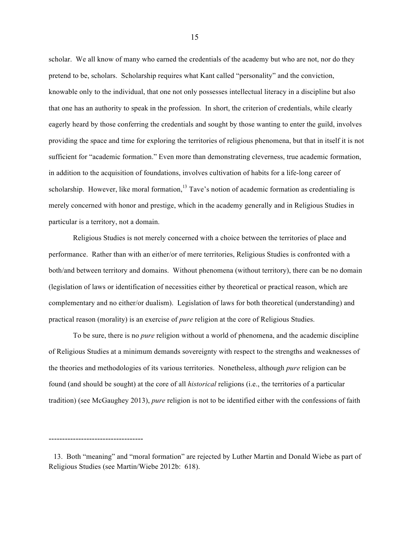scholar. We all know of many who earned the credentials of the academy but who are not, nor do they pretend to be, scholars. Scholarship requires what Kant called "personality" and the conviction, knowable only to the individual, that one not only possesses intellectual literacy in a discipline but also that one has an authority to speak in the profession. In short, the criterion of credentials, while clearly eagerly heard by those conferring the credentials and sought by those wanting to enter the guild, involves providing the space and time for exploring the territories of religious phenomena, but that in itself it is not sufficient for "academic formation." Even more than demonstrating cleverness, true academic formation, in addition to the acquisition of foundations, involves cultivation of habits for a life-long career of scholarship. However, like moral formation,<sup>13</sup> Tave's notion of academic formation as credentialing is merely concerned with honor and prestige, which in the academy generally and in Religious Studies in particular is a territory, not a domain.

Religious Studies is not merely concerned with a choice between the territories of place and performance. Rather than with an either/or of mere territories, Religious Studies is confronted with a both/and between territory and domains. Without phenomena (without territory), there can be no domain (legislation of laws or identification of necessities either by theoretical or practical reason, which are complementary and no either/or dualism). Legislation of laws for both theoretical (understanding) and practical reason (morality) is an exercise of *pure* religion at the core of Religious Studies.

To be sure, there is no *pure* religion without a world of phenomena, and the academic discipline of Religious Studies at a minimum demands sovereignty with respect to the strengths and weaknesses of the theories and methodologies of its various territories. Nonetheless, although *pure* religion can be found (and should be sought) at the core of all *historical* religions (i.e., the territories of a particular tradition) (see McGaughey 2013), *pure* religion is not to be identified either with the confessions of faith

<sup>13.</sup> Both "meaning" and "moral formation" are rejected by Luther Martin and Donald Wiebe as part of Religious Studies (see Martin/Wiebe 2012b: 618).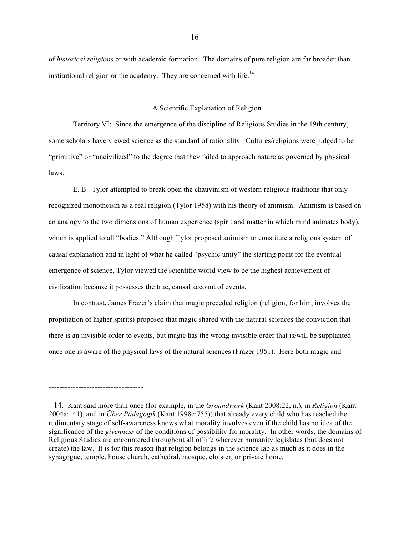of *historical religions* or with academic formation. The domains of pure religion are far broader than institutional religion or the academy. They are concerned with life. $14$ 

## A Scientific Explanation of Religion

Territory VI: Since the emergence of the discipline of Religious Studies in the 19th century, some scholars have viewed science as the standard of rationality. Cultures/religions were judged to be "primitive" or "uncivilized" to the degree that they failed to approach nature as governed by physical laws.

E. B. Tylor attempted to break open the chauvinism of western religious traditions that only recognized monotheism as a real religion (Tylor 1958) with his theory of animism. Animism is based on an analogy to the two dimensions of human experience (spirit and matter in which mind animates body), which is applied to all "bodies." Although Tylor proposed animism to constitute a religious system of causal explanation and in light of what he called "psychic unity" the starting point for the eventual emergence of science, Tylor viewed the scientific world view to be the highest achievement of civilization because it possesses the true, causal account of events.

In contrast, James Frazer's claim that magic preceded religion (religion, for him, involves the propitiation of higher spirits) proposed that magic shared with the natural sciences the conviction that there is an invisible order to events, but magic has the wrong invisible order that is/will be supplanted once one is aware of the physical laws of the natural sciences (Frazer 1951). Here both magic and

<sup>14.</sup> Kant said more than once (for example, in the *Groundwork* (Kant 2008:22, n.), in *Religion* (Kant 2004a: 41), and in *Über Pädagogik* (Kant 1998c:755)) that already every child who has reached the rudimentary stage of self-awareness knows what morality involves even if the child has no idea of the significance of the *givenness* of the conditions of possibility for morality. In other words, the domains of Religious Studies are encountered throughout all of life wherever humanity legislates (but does not create) the law. It is for this reason that religion belongs in the science lab as much as it does in the synagogue, temple, house church, cathedral, mosque, cloister, or private home.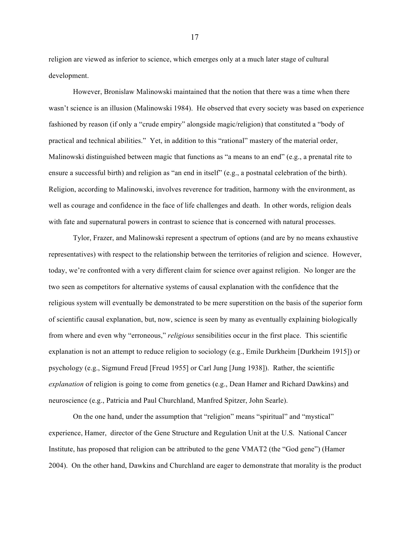religion are viewed as inferior to science, which emerges only at a much later stage of cultural development.

However, Bronislaw Malinowski maintained that the notion that there was a time when there wasn't science is an illusion (Malinowski 1984). He observed that every society was based on experience fashioned by reason (if only a "crude empiry" alongside magic/religion) that constituted a "body of practical and technical abilities." Yet, in addition to this "rational" mastery of the material order, Malinowski distinguished between magic that functions as "a means to an end" (e.g., a prenatal rite to ensure a successful birth) and religion as "an end in itself" (e.g., a postnatal celebration of the birth). Religion, according to Malinowski, involves reverence for tradition, harmony with the environment, as well as courage and confidence in the face of life challenges and death. In other words, religion deals with fate and supernatural powers in contrast to science that is concerned with natural processes.

Tylor, Frazer, and Malinowski represent a spectrum of options (and are by no means exhaustive representatives) with respect to the relationship between the territories of religion and science. However, today, we're confronted with a very different claim for science over against religion. No longer are the two seen as competitors for alternative systems of causal explanation with the confidence that the religious system will eventually be demonstrated to be mere superstition on the basis of the superior form of scientific causal explanation, but, now, science is seen by many as eventually explaining biologically from where and even why "erroneous," *religious* sensibilities occur in the first place. This scientific explanation is not an attempt to reduce religion to sociology (e.g., Emile Durkheim [Durkheim 1915]) or psychology (e.g., Sigmund Freud [Freud 1955] or Carl Jung [Jung 1938]). Rather, the scientific *explanation* of religion is going to come from genetics (e.g., Dean Hamer and Richard Dawkins) and neuroscience (e.g., Patricia and Paul Churchland, Manfred Spitzer, John Searle).

On the one hand, under the assumption that "religion" means "spiritual" and "mystical" experience, Hamer, director of the Gene Structure and Regulation Unit at the U.S. National Cancer Institute, has proposed that religion can be attributed to the gene VMAT2 (the "God gene") (Hamer 2004). On the other hand, Dawkins and Churchland are eager to demonstrate that morality is the product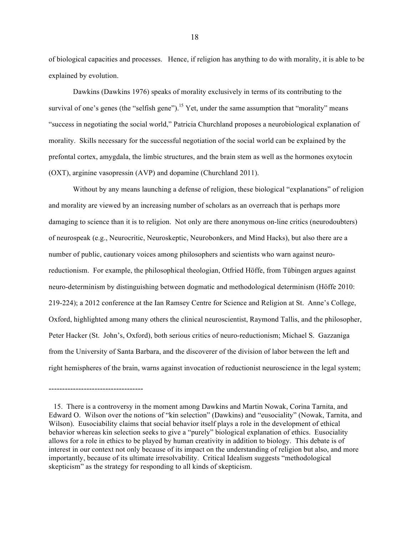of biological capacities and processes. Hence, if religion has anything to do with morality, it is able to be explained by evolution.

Dawkins (Dawkins 1976) speaks of morality exclusively in terms of its contributing to the survival of one's genes (the "selfish gene").<sup>15</sup> Yet, under the same assumption that "morality" means "success in negotiating the social world," Patricia Churchland proposes a neurobiological explanation of morality. Skills necessary for the successful negotiation of the social world can be explained by the prefontal cortex, amygdala, the limbic structures, and the brain stem as well as the hormones oxytocin (OXT), arginine vasopressin (AVP) and dopamine (Churchland 2011).

Without by any means launching a defense of religion, these biological "explanations" of religion and morality are viewed by an increasing number of scholars as an overreach that is perhaps more damaging to science than it is to religion. Not only are there anonymous on-line critics (neurodoubters) of neurospeak (e.g., Neurocritic, Neuroskeptic, Neurobonkers, and Mind Hacks), but also there are a number of public, cautionary voices among philosophers and scientists who warn against neuroreductionism. For example, the philosophical theologian, Otfried Höffe, from Tübingen argues against neuro-determinism by distinguishing between dogmatic and methodological determinism (Höffe 2010: 219-224); a 2012 conference at the Ian Ramsey Centre for Science and Religion at St. Anne's College, Oxford, highlighted among many others the clinical neuroscientist, Raymond Tallis, and the philosopher, Peter Hacker (St. John's, Oxford), both serious critics of neuro-reductionism; Michael S. Gazzaniga from the University of Santa Barbara, and the discoverer of the division of labor between the left and right hemispheres of the brain, warns against invocation of reductionist neuroscience in the legal system;

-----------------------------------

<sup>15.</sup> There is a controversy in the moment among Dawkins and Martin Nowak, Corina Tarnita, and Edward O. Wilson over the notions of "kin selection" (Dawkins) and "eusociality" (Nowak, Tarnita, and Wilson). Eusociability claims that social behavior itself plays a role in the development of ethical behavior whereas kin selection seeks to give a "purely" biological explanation of ethics. Eusociality allows for a role in ethics to be played by human creativity in addition to biology. This debate is of interest in our context not only because of its impact on the understanding of religion but also, and more importantly, because of its ultimate irresolvability. Critical Idealism suggests "methodological skepticism" as the strategy for responding to all kinds of skepticism.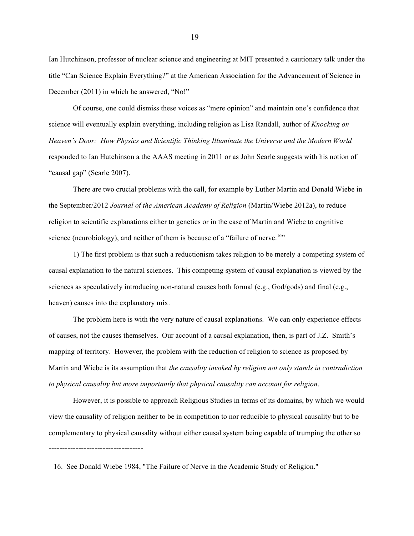Ian Hutchinson, professor of nuclear science and engineering at MIT presented a cautionary talk under the title "Can Science Explain Everything?" at the American Association for the Advancement of Science in December (2011) in which he answered, "No!"

Of course, one could dismiss these voices as "mere opinion" and maintain one's confidence that science will eventually explain everything, including religion as Lisa Randall, author of *Knocking on Heaven's Door: How Physics and Scientific Thinking Illuminate the Universe and the Modern World* responded to Ian Hutchinson a the AAAS meeting in 2011 or as John Searle suggests with his notion of "causal gap" (Searle 2007).

There are two crucial problems with the call, for example by Luther Martin and Donald Wiebe in the September/2012 *Journal of the American Academy of Religion* (Martin/Wiebe 2012a), to reduce religion to scientific explanations either to genetics or in the case of Martin and Wiebe to cognitive science (neurobiology), and neither of them is because of a "failure of nerve.<sup>16</sup>"

1) The first problem is that such a reductionism takes religion to be merely a competing system of causal explanation to the natural sciences. This competing system of causal explanation is viewed by the sciences as speculatively introducing non-natural causes both formal (e.g., God/gods) and final (e.g., heaven) causes into the explanatory mix.

The problem here is with the very nature of causal explanations. We can only experience effects of causes, not the causes themselves. Our account of a causal explanation, then, is part of J.Z. Smith's mapping of territory. However, the problem with the reduction of religion to science as proposed by Martin and Wiebe is its assumption that *the causality invoked by religion not only stands in contradiction to physical causality but more importantly that physical causality can account for religion*.

However, it is possible to approach Religious Studies in terms of its domains, by which we would view the causality of religion neither to be in competition to nor reducible to physical causality but to be complementary to physical causality without either causal system being capable of trumping the other so

<sup>16.</sup> See Donald Wiebe 1984, "The Failure of Nerve in the Academic Study of Religion."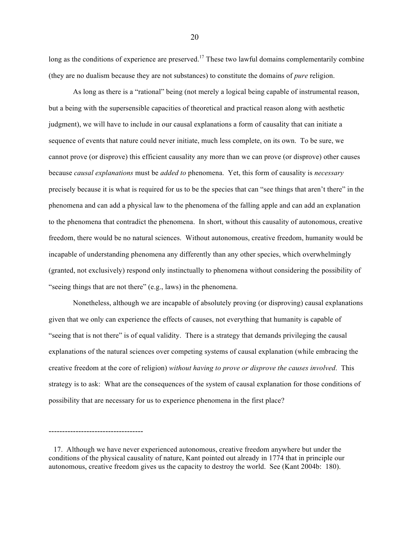long as the conditions of experience are preserved.<sup>17</sup> These two lawful domains complementarily combine (they are no dualism because they are not substances) to constitute the domains of *pure* religion.

As long as there is a "rational" being (not merely a logical being capable of instrumental reason, but a being with the supersensible capacities of theoretical and practical reason along with aesthetic judgment), we will have to include in our causal explanations a form of causality that can initiate a sequence of events that nature could never initiate, much less complete, on its own. To be sure, we cannot prove (or disprove) this efficient causality any more than we can prove (or disprove) other causes because *causal explanations* must be *added to* phenomena. Yet, this form of causality is *necessary* precisely because it is what is required for us to be the species that can "see things that aren't there" in the phenomena and can add a physical law to the phenomena of the falling apple and can add an explanation to the phenomena that contradict the phenomena. In short, without this causality of autonomous, creative freedom, there would be no natural sciences. Without autonomous, creative freedom, humanity would be incapable of understanding phenomena any differently than any other species, which overwhelmingly (granted, not exclusively) respond only instinctually to phenomena without considering the possibility of "seeing things that are not there" (e.g., laws) in the phenomena.

Nonetheless, although we are incapable of absolutely proving (or disproving) causal explanations given that we only can experience the effects of causes, not everything that humanity is capable of "seeing that is not there" is of equal validity. There is a strategy that demands privileging the causal explanations of the natural sciences over competing systems of causal explanation (while embracing the creative freedom at the core of religion) *without having to prove or disprove the causes involved*. This strategy is to ask: What are the consequences of the system of causal explanation for those conditions of possibility that are necessary for us to experience phenomena in the first place?

-----------------------------------

<sup>17.</sup> Although we have never experienced autonomous, creative freedom anywhere but under the conditions of the physical causality of nature, Kant pointed out already in 1774 that in principle our autonomous, creative freedom gives us the capacity to destroy the world. See (Kant 2004b: 180).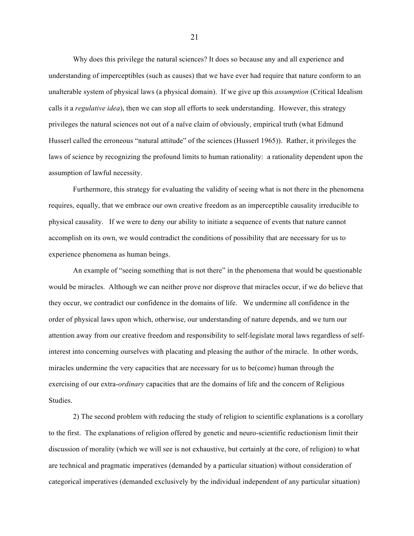Why does this privilege the natural sciences? It does so because any and all experience and understanding of imperceptibles (such as causes) that we have ever had require that nature conform to an unalterable system of physical laws (a physical domain). If we give up this *assumption* (Critical Idealism calls it a *regulative idea*), then we can stop all efforts to seek understanding. However, this strategy privileges the natural sciences not out of a naïve claim of obviously, empirical truth (what Edmund Husserl called the erroneous "natural attitude" of the sciences (Husserl 1965)). Rather, it privileges the laws of science by recognizing the profound limits to human rationality: a rationality dependent upon the assumption of lawful necessity.

Furthermore, this strategy for evaluating the validity of seeing what is not there in the phenomena requires, equally, that we embrace our own creative freedom as an imperceptible causality irreducible to physical causality. If we were to deny our ability to initiate a sequence of events that nature cannot accomplish on its own, we would contradict the conditions of possibility that are necessary for us to experience phenomena as human beings.

An example of "seeing something that is not there" in the phenomena that would be questionable would be miracles. Although we can neither prove nor disprove that miracles occur, if we do believe that they occur, we contradict our confidence in the domains of life. We undermine all confidence in the order of physical laws upon which, otherwise, our understanding of nature depends, and we turn our attention away from our creative freedom and responsibility to self-legislate moral laws regardless of selfinterest into concerning ourselves with placating and pleasing the author of the miracle. In other words, miracles undermine the very capacities that are necessary for us to be(come) human through the exercising of our extra-*ordinary* capacities that are the domains of life and the concern of Religious Studies.

2) The second problem with reducing the study of religion to scientific explanations is a corollary to the first. The explanations of religion offered by genetic and neuro-scientific reductionism limit their discussion of morality (which we will see is not exhaustive, but certainly at the core, of religion) to what are technical and pragmatic imperatives (demanded by a particular situation) without consideration of categorical imperatives (demanded exclusively by the individual independent of any particular situation)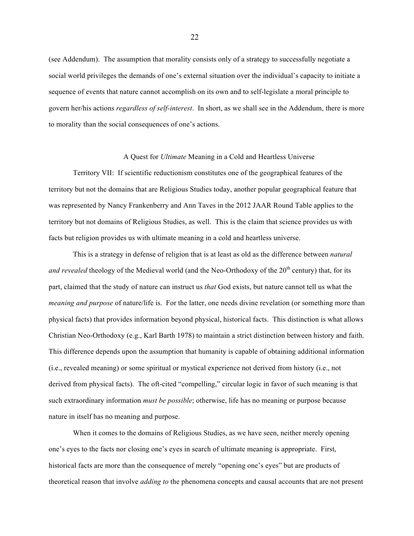(see Addendum). The assumption that morality consists only of a strategy to successfully negotiate a social world privileges the demands of one's external situation over the individual's capacity to initiate a sequence of events that nature cannot accomplish on its own and to self-legislate a moral principle to govern her/his actions *regardless of self-interest*. In short, as we shall see in the Addendum, there is more to morality than the social consequences of one's actions.

#### A Quest for *Ultimate* Meaning in a Cold and Heartless Universe

Territory VII: If scientific reductionism constitutes one of the geographical features of the territory but not the domains that are Religious Studies today, another popular geographical feature that was represented by Nancy Frankenberry and Ann Taves in the 2012 JAAR Round Table applies to the territory but not domains of Religious Studies, as well. This is the claim that science provides us with facts but religion provides us with ultimate meaning in a cold and heartless universe.

This is a strategy in defense of religion that is at least as old as the difference between *natural*  and revealed theology of the Medieval world (and the Neo-Orthodoxy of the 20<sup>th</sup> century) that, for its part, claimed that the study of nature can instruct us *that* God exists, but nature cannot tell us what the *meaning and purpose* of nature/life is. For the latter, one needs divine revelation (or something more than physical facts) that provides information beyond physical, historical facts. This distinction is what allows Christian Neo-Orthodoxy (e.g., Karl Barth 1978) to maintain a strict distinction between history and faith. This difference depends upon the assumption that humanity is capable of obtaining additional information (i.e., revealed meaning) or some spiritual or mystical experience not derived from history (i.e., not derived from physical facts). The oft-cited "compelling," circular logic in favor of such meaning is that such extraordinary information *must be possible*; otherwise, life has no meaning or purpose because nature in itself has no meaning and purpose.

When it comes to the domains of Religious Studies, as we have seen, neither merely opening one's eyes to the facts nor closing one's eyes in search of ultimate meaning is appropriate. First, historical facts are more than the consequence of merely "opening one's eyes" but are products of theoretical reason that involve *adding to* the phenomena concepts and causal accounts that are not present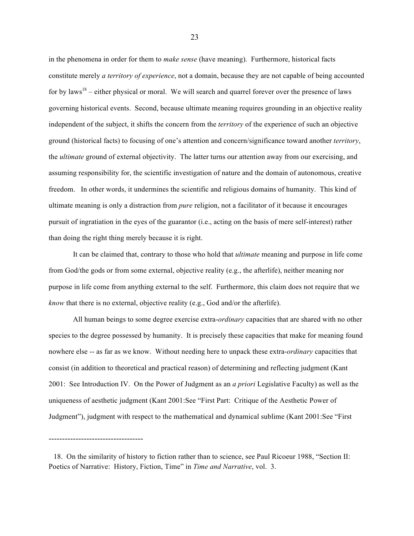in the phenomena in order for them to *make sense* (have meaning). Furthermore, historical facts constitute merely *a territory of experience*, not a domain, because they are not capable of being accounted for by  $laws^{18}$  – either physical or moral. We will search and quarrel forever over the presence of laws governing historical events. Second, because ultimate meaning requires grounding in an objective reality independent of the subject, it shifts the concern from the *territory* of the experience of such an objective ground (historical facts) to focusing of one's attention and concern/significance toward another *territory*, the *ultimate* ground of external objectivity. The latter turns our attention away from our exercising, and assuming responsibility for, the scientific investigation of nature and the domain of autonomous, creative freedom. In other words, it undermines the scientific and religious domains of humanity. This kind of ultimate meaning is only a distraction from *pure* religion, not a facilitator of it because it encourages pursuit of ingratiation in the eyes of the guarantor (i.e., acting on the basis of mere self-interest) rather than doing the right thing merely because it is right.

It can be claimed that, contrary to those who hold that *ultimate* meaning and purpose in life come from God/the gods or from some external, objective reality (e.g., the afterlife), neither meaning nor purpose in life come from anything external to the self. Furthermore, this claim does not require that we *know* that there is no external, objective reality (e.g., God and/or the afterlife).

All human beings to some degree exercise extra-*ordinary* capacities that are shared with no other species to the degree possessed by humanity. It is precisely these capacities that make for meaning found nowhere else -- as far as we know. Without needing here to unpack these extra-*ordinary* capacities that consist (in addition to theoretical and practical reason) of determining and reflecting judgment (Kant 2001: See Introduction IV. On the Power of Judgment as an *a priori* Legislative Faculty) as well as the uniqueness of aesthetic judgment (Kant 2001:See "First Part: Critique of the Aesthetic Power of Judgment"), judgment with respect to the mathematical and dynamical sublime (Kant 2001:See "First

<sup>18.</sup> On the similarity of history to fiction rather than to science, see Paul Ricoeur 1988, "Section II: Poetics of Narrative: History, Fiction, Time" in *Time and Narrative*, vol. 3.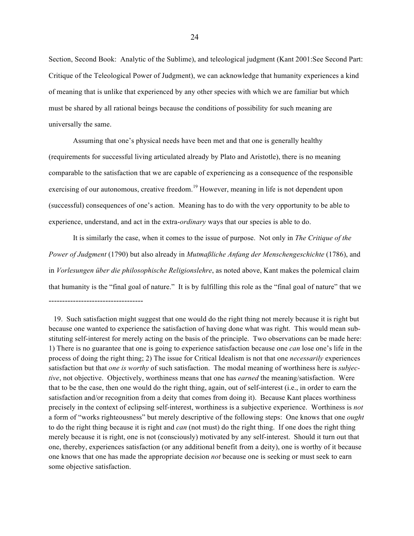Section, Second Book: Analytic of the Sublime), and teleological judgment (Kant 2001:See Second Part: Critique of the Teleological Power of Judgment), we can acknowledge that humanity experiences a kind of meaning that is unlike that experienced by any other species with which we are familiar but which must be shared by all rational beings because the conditions of possibility for such meaning are universally the same.

Assuming that one's physical needs have been met and that one is generally healthy (requirements for successful living articulated already by Plato and Aristotle), there is no meaning comparable to the satisfaction that we are capable of experiencing as a consequence of the responsible exercising of our autonomous, creative freedom.<sup>19</sup> However, meaning in life is not dependent upon (successful) consequences of one's action. Meaning has to do with the very opportunity to be able to experience, understand, and act in the extra-*ordinary* ways that our species is able to do.

It is similarly the case, when it comes to the issue of purpose. Not only in *The Critique of the Power of Judgment* (1790) but also already in *Mutmaßliche Anfang der Menschengeschichte* (1786), and in *Vorlesungen über die philosophische Religionslehre*, as noted above, Kant makes the polemical claim that humanity is the "final goal of nature." It is by fulfilling this role as the "final goal of nature" that we

<sup>19.</sup> Such satisfaction might suggest that one would do the right thing not merely because it is right but because one wanted to experience the satisfaction of having done what was right. This would mean substituting self-interest for merely acting on the basis of the principle. Two observations can be made here: 1) There is no guarantee that one is going to experience satisfaction because one *can* lose one's life in the process of doing the right thing; 2) The issue for Critical Idealism is not that one *necessarily* experiences satisfaction but that *one is worthy* of such satisfaction. The modal meaning of worthiness here is *subjective*, not objective. Objectively, worthiness means that one has *earned* the meaning/satisfaction. Were that to be the case, then one would do the right thing, again, out of self-interest (i.e., in order to earn the satisfaction and/or recognition from a deity that comes from doing it). Because Kant places worthiness precisely in the context of eclipsing self-interest, worthiness is a subjective experience. Worthiness is *not* a form of "works righteousness" but merely descriptive of the following steps: One knows that one *ought* to do the right thing because it is right and *can* (not must) do the right thing. If one does the right thing merely because it is right, one is not (consciously) motivated by any self-interest. Should it turn out that one, thereby, experiences satisfaction (or any additional benefit from a deity), one is worthy of it because one knows that one has made the appropriate decision *not* because one is seeking or must seek to earn some objective satisfaction.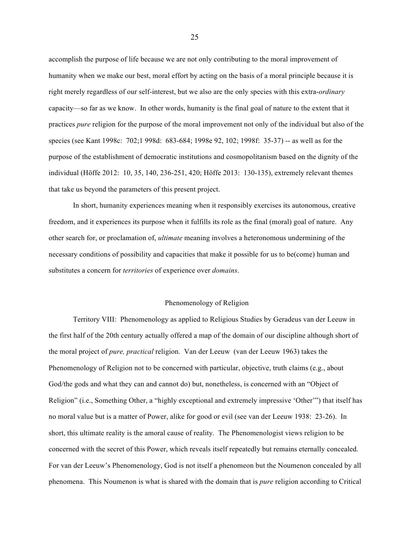accomplish the purpose of life because we are not only contributing to the moral improvement of humanity when we make our best, moral effort by acting on the basis of a moral principle because it is right merely regardless of our self-interest, but we also are the only species with this extra-*ordinary* capacity—so far as we know. In other words, humanity is the final goal of nature to the extent that it practices *pure* religion for the purpose of the moral improvement not only of the individual but also of the species (see Kant 1998c: 702;1 998d: 683-684; 1998e 92, 102; 1998f: 35-37) -- as well as for the purpose of the establishment of democratic institutions and cosmopolitanism based on the dignity of the individual (Höffe 2012: 10, 35, 140, 236-251, 420; Höffe 2013: 130-135), extremely relevant themes that take us beyond the parameters of this present project.

In short, humanity experiences meaning when it responsibly exercises its autonomous, creative freedom, and it experiences its purpose when it fulfills its role as the final (moral) goal of nature. Any other search for, or proclamation of, *ultimate* meaning involves a heteronomous undermining of the necessary conditions of possibility and capacities that make it possible for us to be(come) human and substitutes a concern for *territories* of experience over *domains*.

### Phenomenology of Religion

Territory VIII: Phenomenology as applied to Religious Studies by Geradeus van der Leeuw in the first half of the 20th century actually offered a map of the domain of our discipline although short of the moral project of *pure, practical* religion. Van der Leeuw (van der Leeuw 1963) takes the Phenomenology of Religion not to be concerned with particular, objective, truth claims (e.g., about God/the gods and what they can and cannot do) but, nonetheless, is concerned with an "Object of Religion" (i.e., Something Other, a "highly exceptional and extremely impressive 'Other'") that itself has no moral value but is a matter of Power, alike for good or evil (see van der Leeuw 1938: 23-26). In short, this ultimate reality is the amoral cause of reality. The Phenomenologist views religion to be concerned with the secret of this Power, which reveals itself repeatedly but remains eternally concealed. For van der Leeuw's Phenomenology, God is not itself a phenomeon but the Noumenon concealed by all phenomena. This Noumenon is what is shared with the domain that is *pure* religion according to Critical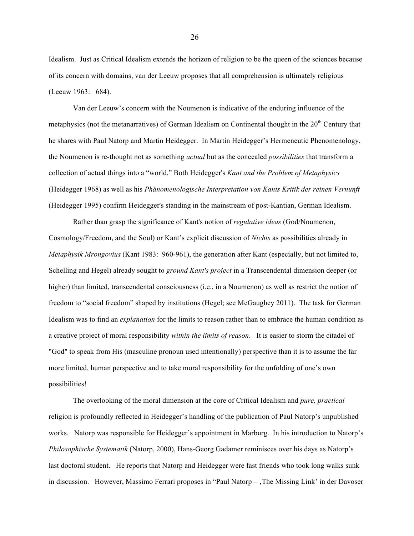Idealism. Just as Critical Idealism extends the horizon of religion to be the queen of the sciences because of its concern with domains, van der Leeuw proposes that all comprehension is ultimately religious (Leeuw 1963: 684).

Van der Leeuw's concern with the Noumenon is indicative of the enduring influence of the metaphysics (not the metanarratives) of German Idealism on Continental thought in the 20<sup>th</sup> Century that he shares with Paul Natorp and Martin Heidegger. In Martin Heidegger's Hermeneutic Phenomenology, the Noumenon is re-thought not as something *actual* but as the concealed *possibilities* that transform a collection of actual things into a "world." Both Heidegger's *Kant and the Problem of Metaphysics* (Heidegger 1968) as well as his *Phänomenologische Interpretation von Kants Kritik der reinen Vernunft* (Heidegger 1995) confirm Heidegger's standing in the mainstream of post-Kantian, German Idealism.

Rather than grasp the significance of Kant's notion of *regulative ideas* (God/Noumenon, Cosmology/Freedom, and the Soul) or Kant's explicit discussion of *Nichts* as possibilities already in *Metaphysik Mrongovius* (Kant 1983: 960-961), the generation after Kant (especially, but not limited to, Schelling and Hegel) already sought to *ground Kant's project* in a Transcendental dimension deeper (or higher) than limited, transcendental consciousness (i.e., in a Noumenon) as well as restrict the notion of freedom to "social freedom" shaped by institutions (Hegel; see McGaughey 2011). The task for German Idealism was to find an *explanation* for the limits to reason rather than to embrace the human condition as a creative project of moral responsibility *within the limits of reason*. It is easier to storm the citadel of "God" to speak from His (masculine pronoun used intentionally) perspective than it is to assume the far more limited, human perspective and to take moral responsibility for the unfolding of one's own possibilities!

The overlooking of the moral dimension at the core of Critical Idealism and *pure, practical* religion is profoundly reflected in Heidegger's handling of the publication of Paul Natorp's unpublished works. Natorp was responsible for Heidegger's appointment in Marburg. In his introduction to Natorp's *Philosophische Systematik* (Natorp, 2000), Hans-Georg Gadamer reminisces over his days as Natorp's last doctoral student. He reports that Natorp and Heidegger were fast friends who took long walks sunk in discussion. However, Massimo Ferrari proposes in "Paul Natorp – The Missing Link' in der Davoser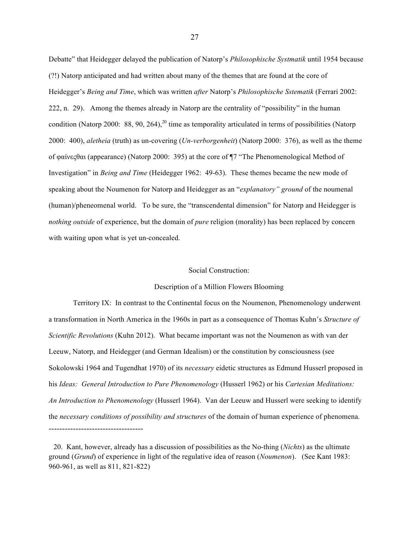Debatte" that Heidegger delayed the publication of Natorp's *Philosophische Systmatik* until 1954 because (?!) Natorp anticipated and had written about many of the themes that are found at the core of Heidegger's *Being and Time*, which was written *after* Natorp's *Philosophische Sstematik* (Ferrari 2002: 222, n. 29). Among the themes already in Natorp are the centrality of "possibility" in the human condition (Natorp 2000: 88, 90, 264),<sup>20</sup> time as temporality articulated in terms of possibilities (Natorp 2000: 400), *aletheia* (truth) as un-covering (*Un-verborgenheit*) (Natorp 2000: 376), as well as the theme of φαίνεςθαι (appearance) (Natorp 2000: 395) at the core of ¶7 "The Phenomenological Method of Investigation" in *Being and Time* (Heidegger 1962: 49-63). These themes became the new mode of speaking about the Noumenon for Natorp and Heidegger as an "*explanatory" ground* of the noumenal (human)/pheneomenal world. To be sure, the "transcendental dimension" for Natorp and Heidegger is *nothing outside* of experience, but the domain of *pure* religion (morality) has been replaced by concern with waiting upon what is yet un-concealed.

#### Social Construction:

### Description of a Million Flowers Blooming

Territory IX: In contrast to the Continental focus on the Noumenon, Phenomenology underwent a transformation in North America in the 1960s in part as a consequence of Thomas Kuhn's *Structure of Scientific Revolutions* (Kuhn 2012). What became important was not the Noumenon as with van der Leeuw, Natorp, and Heidegger (and German Idealism) or the constitution by consciousness (see Sokolowski 1964 and Tugendhat 1970) of its *necessary* eidetic structures as Edmund Husserl proposed in his *Ideas: General Introduction to Pure Phenomenology* (Husserl 1962) or his *Cartesian Meditations: An Introduction to Phenomenology* (Husserl 1964). Van der Leeuw and Husserl were seeking to identify the *necessary conditions of possibility and structures* of the domain of human experience of phenomena. -----------------------------------

<sup>20.</sup> Kant, however, already has a discussion of possibilities as the No-thing (*Nichts*) as the ultimate ground (*Grund*) of experience in light of the regulative idea of reason (*Noumenon*). (See Kant 1983: 960-961, as well as 811, 821-822)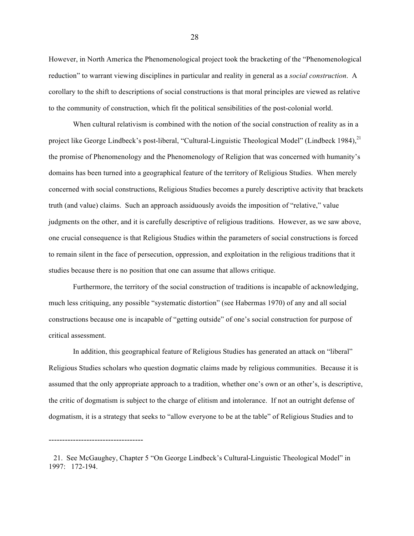However, in North America the Phenomenological project took the bracketing of the "Phenomenological reduction" to warrant viewing disciplines in particular and reality in general as a *social construction*. A corollary to the shift to descriptions of social constructions is that moral principles are viewed as relative to the community of construction, which fit the political sensibilities of the post-colonial world.

When cultural relativism is combined with the notion of the social construction of reality as in a project like George Lindbeck's post-liberal, "Cultural-Linguistic Theological Model" (Lindbeck 1984),<sup>21</sup> the promise of Phenomenology and the Phenomenology of Religion that was concerned with humanity's domains has been turned into a geographical feature of the territory of Religious Studies. When merely concerned with social constructions, Religious Studies becomes a purely descriptive activity that brackets truth (and value) claims. Such an approach assiduously avoids the imposition of "relative," value judgments on the other, and it is carefully descriptive of religious traditions. However, as we saw above, one crucial consequence is that Religious Studies within the parameters of social constructions is forced to remain silent in the face of persecution, oppression, and exploitation in the religious traditions that it studies because there is no position that one can assume that allows critique.

Furthermore, the territory of the social construction of traditions is incapable of acknowledging, much less critiquing, any possible "systematic distortion" (see Habermas 1970) of any and all social constructions because one is incapable of "getting outside" of one's social construction for purpose of critical assessment.

In addition, this geographical feature of Religious Studies has generated an attack on "liberal" Religious Studies scholars who question dogmatic claims made by religious communities. Because it is assumed that the only appropriate approach to a tradition, whether one's own or an other's, is descriptive, the critic of dogmatism is subject to the charge of elitism and intolerance. If not an outright defense of dogmatism, it is a strategy that seeks to "allow everyone to be at the table" of Religious Studies and to

<sup>21.</sup> See McGaughey, Chapter 5 "On George Lindbeck's Cultural-Linguistic Theological Model" in 1997: 172-194.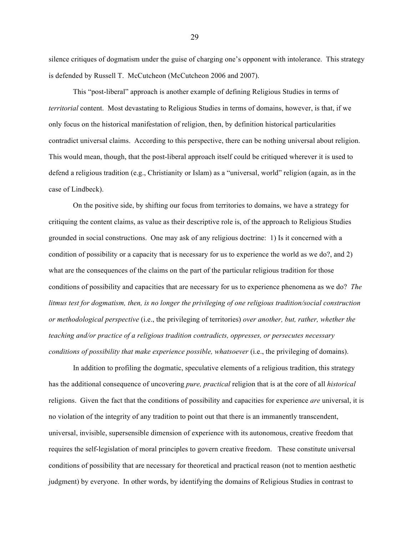silence critiques of dogmatism under the guise of charging one's opponent with intolerance. This strategy is defended by Russell T. McCutcheon (McCutcheon 2006 and 2007).

This "post-liberal" approach is another example of defining Religious Studies in terms of *territorial* content. Most devastating to Religious Studies in terms of domains, however, is that, if we only focus on the historical manifestation of religion, then, by definition historical particularities contradict universal claims. According to this perspective, there can be nothing universal about religion. This would mean, though, that the post-liberal approach itself could be critiqued wherever it is used to defend a religious tradition (e.g., Christianity or Islam) as a "universal, world" religion (again, as in the case of Lindbeck).

On the positive side, by shifting our focus from territories to domains, we have a strategy for critiquing the content claims, as value as their descriptive role is, of the approach to Religious Studies grounded in social constructions. One may ask of any religious doctrine: 1) Is it concerned with a condition of possibility or a capacity that is necessary for us to experience the world as we do?, and 2) what are the consequences of the claims on the part of the particular religious tradition for those conditions of possibility and capacities that are necessary for us to experience phenomena as we do? *The litmus test for dogmatism, then, is no longer the privileging of one religious tradition/social construction or methodological perspective* (i.e., the privileging of territories) *over another, but, rather, whether the teaching and/or practice of a religious tradition contradicts, oppresses, or persecutes necessary conditions of possibility that make experience possible, whatsoever* (i.e., the privileging of domains).

In addition to profiling the dogmatic, speculative elements of a religious tradition, this strategy has the additional consequence of uncovering *pure, practical* religion that is at the core of all *historical*  religions. Given the fact that the conditions of possibility and capacities for experience *are* universal, it is no violation of the integrity of any tradition to point out that there is an immanently transcendent, universal, invisible, supersensible dimension of experience with its autonomous, creative freedom that requires the self-legislation of moral principles to govern creative freedom. These constitute universal conditions of possibility that are necessary for theoretical and practical reason (not to mention aesthetic judgment) by everyone. In other words, by identifying the domains of Religious Studies in contrast to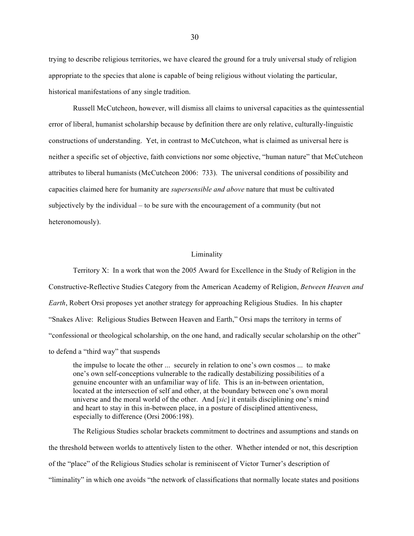trying to describe religious territories, we have cleared the ground for a truly universal study of religion appropriate to the species that alone is capable of being religious without violating the particular, historical manifestations of any single tradition.

Russell McCutcheon, however, will dismiss all claims to universal capacities as the quintessential error of liberal, humanist scholarship because by definition there are only relative, culturally-linguistic constructions of understanding. Yet, in contrast to McCutcheon, what is claimed as universal here is neither a specific set of objective, faith convictions nor some objective, "human nature" that McCutcheon attributes to liberal humanists (McCutcheon 2006: 733). The universal conditions of possibility and capacities claimed here for humanity are *supersensible and above* nature that must be cultivated subjectively by the individual – to be sure with the encouragement of a community (but not heteronomously).

#### Liminality

Territory X: In a work that won the 2005 Award for Excellence in the Study of Religion in the Constructive-Reflective Studies Category from the American Academy of Religion, *Between Heaven and Earth*, Robert Orsi proposes yet another strategy for approaching Religious Studies. In his chapter "Snakes Alive: Religious Studies Between Heaven and Earth," Orsi maps the territory in terms of "confessional or theological scholarship, on the one hand, and radically secular scholarship on the other" to defend a "third way" that suspends

the impulse to locate the other ... securely in relation to one's own cosmos ... to make one's own self-conceptions vulnerable to the radically destabilizing possibilities of a genuine encounter with an unfamiliar way of life. This is an in-between orientation, located at the intersection of self and other, at the boundary between one's own moral universe and the moral world of the other. And [*sic*] it entails disciplining one's mind and heart to stay in this in-between place, in a posture of disciplined attentiveness, especially to difference (Orsi 2006:198).

The Religious Studies scholar brackets commitment to doctrines and assumptions and stands on the threshold between worlds to attentively listen to the other. Whether intended or not, this description of the "place" of the Religious Studies scholar is reminiscent of Victor Turner's description of "liminality" in which one avoids "the network of classifications that normally locate states and positions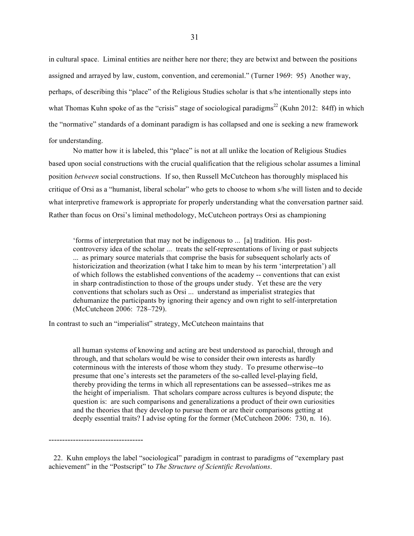in cultural space. Liminal entities are neither here nor there; they are betwixt and between the positions assigned and arrayed by law, custom, convention, and ceremonial." (Turner 1969: 95) Another way, perhaps, of describing this "place" of the Religious Studies scholar is that s/he intentionally steps into what Thomas Kuhn spoke of as the "crisis" stage of sociological paradigms<sup>22</sup> (Kuhn 2012: 84ff) in which the "normative" standards of a dominant paradigm is has collapsed and one is seeking a new framework for understanding.

No matter how it is labeled, this "place" is not at all unlike the location of Religious Studies based upon social constructions with the crucial qualification that the religious scholar assumes a liminal position *between* social constructions. If so, then Russell McCutcheon has thoroughly misplaced his critique of Orsi as a "humanist, liberal scholar" who gets to choose to whom s/he will listen and to decide what interpretive framework is appropriate for properly understanding what the conversation partner said. Rather than focus on Orsi's liminal methodology, McCutcheon portrays Orsi as championing

'forms of interpretation that may not be indigenous to ... [a] tradition. His postcontroversy idea of the scholar ... treats the self-representations of living or past subjects ... as primary source materials that comprise the basis for subsequent scholarly acts of historicization and theorization (what I take him to mean by his term 'interpretation') all of which follows the established conventions of the academy -- conventions that can exist in sharp contradistinction to those of the groups under study. Yet these are the very conventions that scholars such as Orsi ... understand as imperialist strategies that dehumanize the participants by ignoring their agency and own right to self-interpretation (McCutcheon 2006: 728–729).

In contrast to such an "imperialist" strategy, McCutcheon maintains that

-----------------------------------

all human systems of knowing and acting are best understood as parochial, through and through, and that scholars would be wise to consider their own interests as hardly coterminous with the interests of those whom they study. To presume otherwise--to presume that one's interests set the parameters of the so-called level-playing field, thereby providing the terms in which all representations can be assessed--strikes me as the height of imperialism. That scholars compare across cultures is beyond dispute; the question is: are such comparisons and generalizations a product of their own curiosities and the theories that they develop to pursue them or are their comparisons getting at deeply essential traits? I advise opting for the former (McCutcheon 2006: 730, n. 16).

<sup>22.</sup> Kuhn employs the label "sociological" paradigm in contrast to paradigms of "exemplary past achievement" in the "Postscript" to *The Structure of Scientific Revolutions*.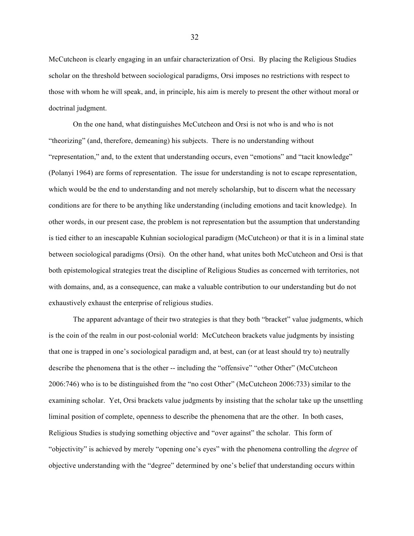McCutcheon is clearly engaging in an unfair characterization of Orsi. By placing the Religious Studies scholar on the threshold between sociological paradigms, Orsi imposes no restrictions with respect to those with whom he will speak, and, in principle, his aim is merely to present the other without moral or doctrinal judgment.

On the one hand, what distinguishes McCutcheon and Orsi is not who is and who is not "theorizing" (and, therefore, demeaning) his subjects. There is no understanding without "representation," and, to the extent that understanding occurs, even "emotions" and "tacit knowledge" (Polanyi 1964) are forms of representation. The issue for understanding is not to escape representation, which would be the end to understanding and not merely scholarship, but to discern what the necessary conditions are for there to be anything like understanding (including emotions and tacit knowledge). In other words, in our present case, the problem is not representation but the assumption that understanding is tied either to an inescapable Kuhnian sociological paradigm (McCutcheon) or that it is in a liminal state between sociological paradigms (Orsi). On the other hand, what unites both McCutcheon and Orsi is that both epistemological strategies treat the discipline of Religious Studies as concerned with territories, not with domains, and, as a consequence, can make a valuable contribution to our understanding but do not exhaustively exhaust the enterprise of religious studies.

The apparent advantage of their two strategies is that they both "bracket" value judgments, which is the coin of the realm in our post-colonial world: McCutcheon brackets value judgments by insisting that one is trapped in one's sociological paradigm and, at best, can (or at least should try to) neutrally describe the phenomena that is the other -- including the "offensive" "other Other" (McCutcheon 2006:746) who is to be distinguished from the "no cost Other" (McCutcheon 2006:733) similar to the examining scholar. Yet, Orsi brackets value judgments by insisting that the scholar take up the unsettling liminal position of complete, openness to describe the phenomena that are the other. In both cases, Religious Studies is studying something objective and "over against" the scholar. This form of "objectivity" is achieved by merely "opening one's eyes" with the phenomena controlling the *degree* of objective understanding with the "degree" determined by one's belief that understanding occurs within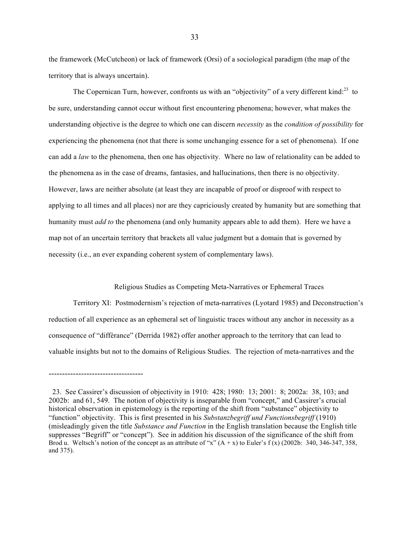the framework (McCutcheon) or lack of framework (Orsi) of a sociological paradigm (the map of the territory that is always uncertain).

The Copernican Turn, however, confronts us with an "objectivity" of a very different kind: $^{23}$  to be sure, understanding cannot occur without first encountering phenomena; however, what makes the understanding objective is the degree to which one can discern *necessity* as the *condition of possibility* for experiencing the phenomena (not that there is some unchanging essence for a set of phenomena). If one can add a *law* to the phenomena, then one has objectivity. Where no law of relationality can be added to the phenomena as in the case of dreams, fantasies, and hallucinations, then there is no objectivity. However, laws are neither absolute (at least they are incapable of proof or disproof with respect to applying to all times and all places) nor are they capriciously created by humanity but are something that humanity must *add to* the phenomena (and only humanity appears able to add them). Here we have a map not of an uncertain territory that brackets all value judgment but a domain that is governed by necessity (i.e., an ever expanding coherent system of complementary laws).

## Religious Studies as Competing Meta-Narratives or Ephemeral Traces

Territory XI: Postmodernism's rejection of meta-narratives (Lyotard 1985) and Deconstruction's reduction of all experience as an ephemeral set of linguistic traces without any anchor in necessity as a consequence of "diffèrance" (Derrida 1982) offer another approach to the territory that can lead to valuable insights but not to the domains of Religious Studies. The rejection of meta-narratives and the

 <sup>23.</sup> See Cassirer's discussion of objectivity in 1910: 428; 1980: 13; 2001: 8; 2002a: 38, 103; and 2002b: and 61, 549. The notion of objectivity is inseparable from "concept," and Cassirer's crucial historical observation in epistemology is the reporting of the shift from "substance" objectivity to "function" objectivity. This is first presented in his *Substanzbegriff und Functionsbegriff* (1910) (misleadingly given the title *Substance and Function* in the English translation because the English title suppresses "Begriff" or "concept"). See in addition his discussion of the significance of the shift from Brod u. Weltsch's notion of the concept as an attribute of "x"  $(A + x)$  to Euler's f  $(x)$  (2002b: 340, 346-347, 358, and 375).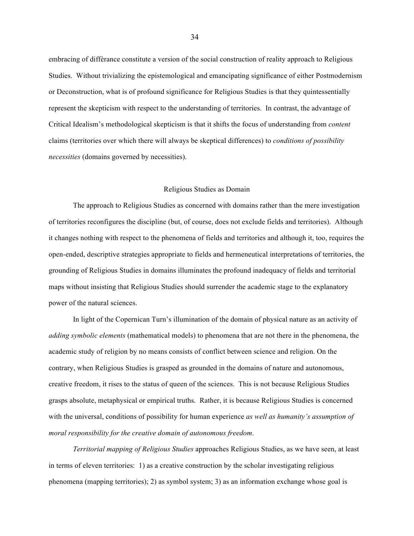embracing of diffèrance constitute a version of the social construction of reality approach to Religious Studies. Without trivializing the epistemological and emancipating significance of either Postmodernism or Deconstruction, what is of profound significance for Religious Studies is that they quintessentially represent the skepticism with respect to the understanding of territories. In contrast, the advantage of Critical Idealism's methodological skepticism is that it shifts the focus of understanding from *content* claims (territories over which there will always be skeptical differences) to *conditions of possibility necessities* (domains governed by necessities).

### Religious Studies as Domain

The approach to Religious Studies as concerned with domains rather than the mere investigation of territories reconfigures the discipline (but, of course, does not exclude fields and territories). Although it changes nothing with respect to the phenomena of fields and territories and although it, too, requires the open-ended, descriptive strategies appropriate to fields and hermeneutical interpretations of territories, the grounding of Religious Studies in domains illuminates the profound inadequacy of fields and territorial maps without insisting that Religious Studies should surrender the academic stage to the explanatory power of the natural sciences.

In light of the Copernican Turn's illumination of the domain of physical nature as an activity of *adding symbolic elements* (mathematical models) to phenomena that are not there in the phenomena, the academic study of religion by no means consists of conflict between science and religion. On the contrary, when Religious Studies is grasped as grounded in the domains of nature and autonomous, creative freedom, it rises to the status of queen of the sciences. This is not because Religious Studies grasps absolute, metaphysical or empirical truths. Rather, it is because Religious Studies is concerned with the universal, conditions of possibility for human experience *as well as humanity's assumption of moral responsibility for the creative domain of autonomous freedom*.

*Territorial mapping of Religious Studies* approaches Religious Studies, as we have seen, at least in terms of eleven territories: 1) as a creative construction by the scholar investigating religious phenomena (mapping territories); 2) as symbol system; 3) as an information exchange whose goal is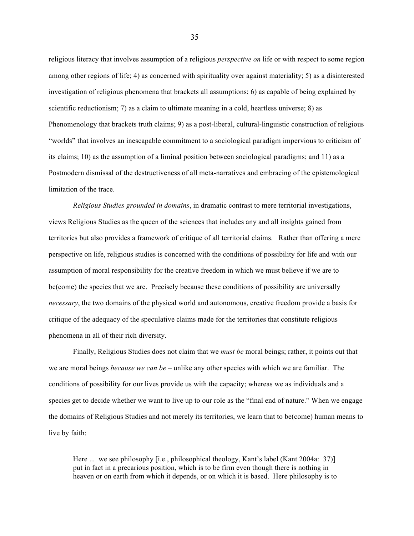religious literacy that involves assumption of a religious *perspective on* life or with respect to some region among other regions of life; 4) as concerned with spirituality over against materiality; 5) as a disinterested investigation of religious phenomena that brackets all assumptions; 6) as capable of being explained by scientific reductionism; 7) as a claim to ultimate meaning in a cold, heartless universe; 8) as Phenomenology that brackets truth claims; 9) as a post-liberal, cultural-linguistic construction of religious "worlds" that involves an inescapable commitment to a sociological paradigm impervious to criticism of its claims; 10) as the assumption of a liminal position between sociological paradigms; and 11) as a Postmodern dismissal of the destructiveness of all meta-narratives and embracing of the epistemological limitation of the trace.

*Religious Studies grounded in domains*, in dramatic contrast to mere territorial investigations, views Religious Studies as the queen of the sciences that includes any and all insights gained from territories but also provides a framework of critique of all territorial claims. Rather than offering a mere perspective on life, religious studies is concerned with the conditions of possibility for life and with our assumption of moral responsibility for the creative freedom in which we must believe if we are to be(come) the species that we are. Precisely because these conditions of possibility are universally *necessary*, the two domains of the physical world and autonomous, creative freedom provide a basis for critique of the adequacy of the speculative claims made for the territories that constitute religious phenomena in all of their rich diversity.

Finally, Religious Studies does not claim that we *must be* moral beings; rather, it points out that we are moral beings *because we can be* – unlike any other species with which we are familiar. The conditions of possibility for our lives provide us with the capacity; whereas we as individuals and a species get to decide whether we want to live up to our role as the "final end of nature." When we engage the domains of Religious Studies and not merely its territories, we learn that to be(come) human means to live by faith:

Here ... we see philosophy [i.e., philosophical theology, Kant's label (Kant 2004a: 37)] put in fact in a precarious position, which is to be firm even though there is nothing in heaven or on earth from which it depends, or on which it is based. Here philosophy is to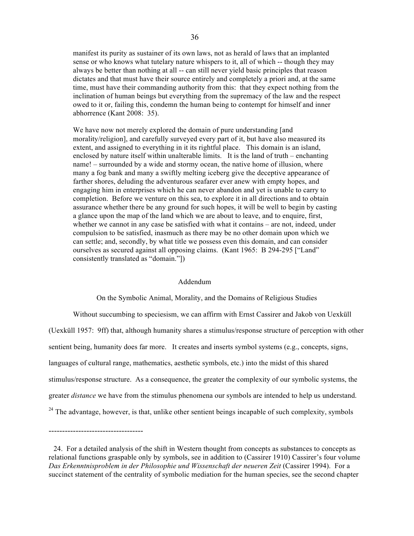manifest its purity as sustainer of its own laws, not as herald of laws that an implanted sense or who knows what tutelary nature whispers to it, all of which -- though they may always be better than nothing at all -- can still never yield basic principles that reason dictates and that must have their source entirely and completely a priori and, at the same time, must have their commanding authority from this: that they expect nothing from the inclination of human beings but everything from the supremacy of the law and the respect owed to it or, failing this, condemn the human being to contempt for himself and inner abhorrence (Kant 2008: 35).

We have now not merely explored the domain of pure understanding [and morality/religion], and carefully surveyed every part of it, but have also measured its extent, and assigned to everything in it its rightful place. This domain is an island, enclosed by nature itself within unalterable limits. It is the land of truth – enchanting name! – surrounded by a wide and stormy ocean, the native home of illusion, where many a fog bank and many a swiftly melting iceberg give the deceptive appearance of farther shores, deluding the adventurous seafarer ever anew with empty hopes, and engaging him in enterprises which he can never abandon and yet is unable to carry to completion. Before we venture on this sea, to explore it in all directions and to obtain assurance whether there be any ground for such hopes, it will be well to begin by casting a glance upon the map of the land which we are about to leave, and to enquire, first, whether we cannot in any case be satisfied with what it contains – are not, indeed, under compulsion to be satisfied, inasmuch as there may be no other domain upon which we can settle; and, secondly, by what title we possess even this domain, and can consider ourselves as secured against all opposing claims. (Kant 1965: B 294-295 ["Land" consistently translated as "domain."])

#### Addendum

On the Symbolic Animal, Morality, and the Domains of Religious Studies

Without succumbing to speciesism, we can affirm with Ernst Cassirer and Jakob von Uexküll (Uexküll 1957: 9ff) that, although humanity shares a stimulus/response structure of perception with other sentient being, humanity does far more. It creates and inserts symbol systems (e.g., concepts, signs, languages of cultural range, mathematics, aesthetic symbols, etc.) into the midst of this shared stimulus/response structure. As a consequence, the greater the complexity of our symbolic systems, the greater *distance* we have from the stimulus phenomena our symbols are intended to help us understand. <sup>24</sup> The advantage, however, is that, unlike other sentient beings incapable of such complexity, symbols

<sup>24.</sup> For a detailed analysis of the shift in Western thought from concepts as substances to concepts as relational functions graspable only by symbols, see in addition to (Cassirer 1910) Cassirer's four volume *Das Erkenntnisproblem in der Philosophie und Wissenschaft der neueren Zeit* (Cassirer 1994). For a succinct statement of the centrality of symbolic mediation for the human species, see the second chapter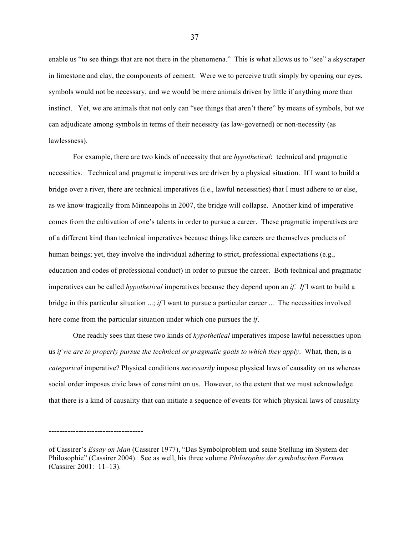enable us "to see things that are not there in the phenomena." This is what allows us to "see" a skyscraper in limestone and clay, the components of cement. Were we to perceive truth simply by opening our eyes, symbols would not be necessary, and we would be mere animals driven by little if anything more than instinct. Yet, we are animals that not only can "see things that aren't there" by means of symbols, but we can adjudicate among symbols in terms of their necessity (as law-governed) or non-necessity (as lawlessness).

For example, there are two kinds of necessity that are *hypothetical*: technical and pragmatic necessities. Technical and pragmatic imperatives are driven by a physical situation. If I want to build a bridge over a river, there are technical imperatives (i.e., lawful necessities) that I must adhere to or else, as we know tragically from Minneapolis in 2007, the bridge will collapse. Another kind of imperative comes from the cultivation of one's talents in order to pursue a career. These pragmatic imperatives are of a different kind than technical imperatives because things like careers are themselves products of human beings; yet, they involve the individual adhering to strict, professional expectations (e.g., education and codes of professional conduct) in order to pursue the career. Both technical and pragmatic imperatives can be called *hypothetical* imperatives because they depend upon an *if*. *If* I want to build a bridge in this particular situation ...; *if* I want to pursue a particular career ... The necessities involved here come from the particular situation under which one pursues the *if*.

One readily sees that these two kinds of *hypothetical* imperatives impose lawful necessities upon us *if we are to properly pursue the technical or pragmatic goals to which they apply*. What, then, is a *categorical* imperative? Physical conditions *necessarily* impose physical laws of causality on us whereas social order imposes civic laws of constraint on us. However, to the extent that we must acknowledge that there is a kind of causality that can initiate a sequence of events for which physical laws of causality

of Cassirer's *Essay on Man* (Cassirer 1977), "Das Symbolproblem und seine Stellung im System der Philosophie" (Cassirer 2004). See as well, his three volume *Philosophie der symbolischen Formen* (Cassirer 2001: 11–13).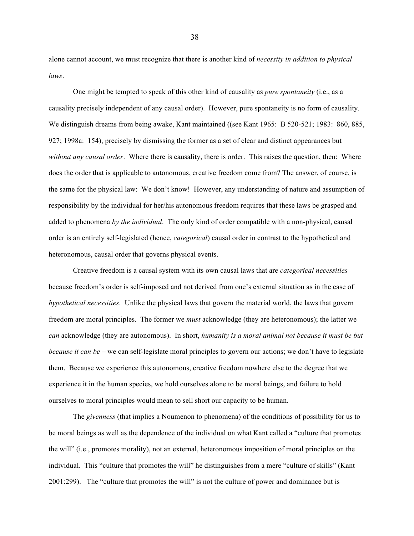alone cannot account, we must recognize that there is another kind of *necessity in addition to physical laws*.

One might be tempted to speak of this other kind of causality as *pure spontaneity* (i.e., as a causality precisely independent of any causal order). However, pure spontaneity is no form of causality. We distinguish dreams from being awake, Kant maintained ((see Kant 1965: B 520-521; 1983: 860, 885, 927; 1998a: 154), precisely by dismissing the former as a set of clear and distinct appearances but *without any causal order*. Where there is causality, there is order. This raises the question, then: Where does the order that is applicable to autonomous, creative freedom come from? The answer, of course, is the same for the physical law: We don't know! However, any understanding of nature and assumption of responsibility by the individual for her/his autonomous freedom requires that these laws be grasped and added to phenomena *by the individual*. The only kind of order compatible with a non-physical, causal order is an entirely self-legislated (hence, *categorical*) causal order in contrast to the hypothetical and heteronomous, causal order that governs physical events.

Creative freedom is a causal system with its own causal laws that are *categorical necessities* because freedom's order is self-imposed and not derived from one's external situation as in the case of *hypothetical necessities*. Unlike the physical laws that govern the material world, the laws that govern freedom are moral principles. The former we *must* acknowledge (they are heteronomous); the latter we *can* acknowledge (they are autonomous). In short, *humanity is a moral animal not because it must be but because it can be* – we can self-legislate moral principles to govern our actions; we don't have to legislate them. Because we experience this autonomous, creative freedom nowhere else to the degree that we experience it in the human species, we hold ourselves alone to be moral beings, and failure to hold ourselves to moral principles would mean to sell short our capacity to be human.

The *givenness* (that implies a Noumenon to phenomena) of the conditions of possibility for us to be moral beings as well as the dependence of the individual on what Kant called a "culture that promotes the will" (i.e., promotes morality), not an external, heteronomous imposition of moral principles on the individual. This "culture that promotes the will" he distinguishes from a mere "culture of skills" (Kant 2001:299). The "culture that promotes the will" is not the culture of power and dominance but is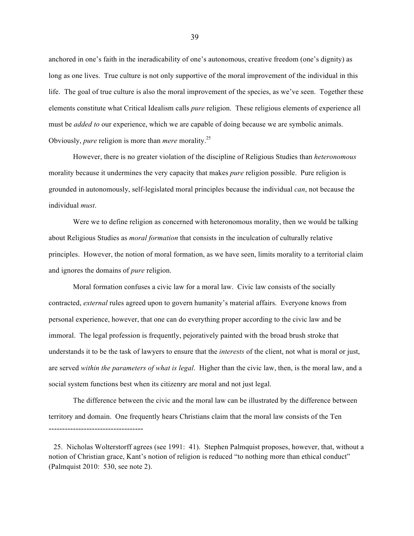anchored in one's faith in the ineradicability of one's autonomous, creative freedom (one's dignity) as long as one lives. True culture is not only supportive of the moral improvement of the individual in this life. The goal of true culture is also the moral improvement of the species, as we've seen. Together these elements constitute what Critical Idealism calls *pure* religion. These religious elements of experience all must be *added to* our experience, which we are capable of doing because we are symbolic animals. Obviously, *pure* religion is more than *mere* morality.25

However, there is no greater violation of the discipline of Religious Studies than *heteronomous* morality because it undermines the very capacity that makes *pure* religion possible. Pure religion is grounded in autonomously, self-legislated moral principles because the individual *can*, not because the individual *must*.

Were we to define religion as concerned with heteronomous morality, then we would be talking about Religious Studies as *moral formation* that consists in the inculcation of culturally relative principles. However, the notion of moral formation, as we have seen, limits morality to a territorial claim and ignores the domains of *pure* religion.

Moral formation confuses a civic law for a moral law. Civic law consists of the socially contracted, *external* rules agreed upon to govern humanity's material affairs. Everyone knows from personal experience, however, that one can do everything proper according to the civic law and be immoral. The legal profession is frequently, pejoratively painted with the broad brush stroke that understands it to be the task of lawyers to ensure that the *interests* of the client, not what is moral or just, are served *within the parameters of what is legal*. Higher than the civic law, then, is the moral law, and a social system functions best when its citizenry are moral and not just legal.

The difference between the civic and the moral law can be illustrated by the difference between territory and domain. One frequently hears Christians claim that the moral law consists of the Ten -----------------------------------

<sup>25.</sup> Nicholas Wolterstorff agrees (see 1991: 41). Stephen Palmquist proposes, however, that, without a notion of Christian grace, Kant's notion of religion is reduced "to nothing more than ethical conduct" (Palmquist 2010: 530, see note 2).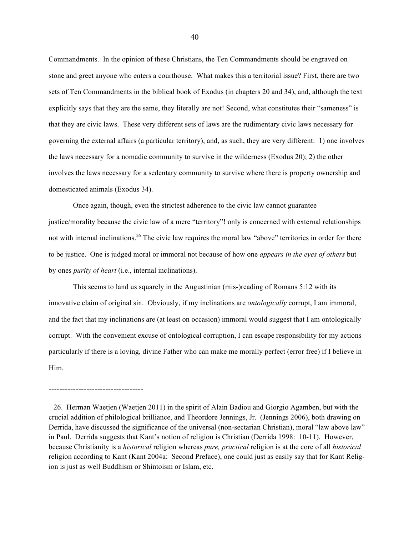Commandments. In the opinion of these Christians, the Ten Commandments should be engraved on stone and greet anyone who enters a courthouse. What makes this a territorial issue? First, there are two sets of Ten Commandments in the biblical book of Exodus (in chapters 20 and 34), and, although the text explicitly says that they are the same, they literally are not! Second, what constitutes their "sameness" is that they are civic laws. These very different sets of laws are the rudimentary civic laws necessary for governing the external affairs (a particular territory), and, as such, they are very different: 1) one involves the laws necessary for a nomadic community to survive in the wilderness (Exodus 20); 2) the other involves the laws necessary for a sedentary community to survive where there is property ownership and domesticated animals (Exodus 34).

Once again, though, even the strictest adherence to the civic law cannot guarantee justice/morality because the civic law of a mere "territory"! only is concerned with external relationships not with internal inclinations.<sup>26</sup> The civic law requires the moral law "above" territories in order for there to be justice. One is judged moral or immoral not because of how one *appears in the eyes of others* but by ones *purity of heart* (i.e., internal inclinations).

This seems to land us squarely in the Augustinian (mis-)reading of Romans 5:12 with its innovative claim of original sin. Obviously, if my inclinations are *ontologically* corrupt, I am immoral, and the fact that my inclinations are (at least on occasion) immoral would suggest that I am ontologically corrupt. With the convenient excuse of ontological corruption, I can escape responsibility for my actions particularly if there is a loving, divine Father who can make me morally perfect (error free) if I believe in Him.

26. Herman Waetjen (Waetjen 2011) in the spirit of Alain Badiou and Giorgio Agamben, but with the crucial addition of philological brilliance, and Theordore Jennings, Jr. (Jennings 2006), both drawing on Derrida, have discussed the significance of the universal (non-sectarian Christian), moral "law above law" in Paul. Derrida suggests that Kant's notion of religion is Christian (Derrida 1998: 10-11). However, because Christianity is a *historical* religion whereas *pure, practical* religion is at the core of all *historical* religion according to Kant (Kant 2004a: Second Preface), one could just as easily say that for Kant Religion is just as well Buddhism or Shintoism or Islam, etc.

-----------------------------------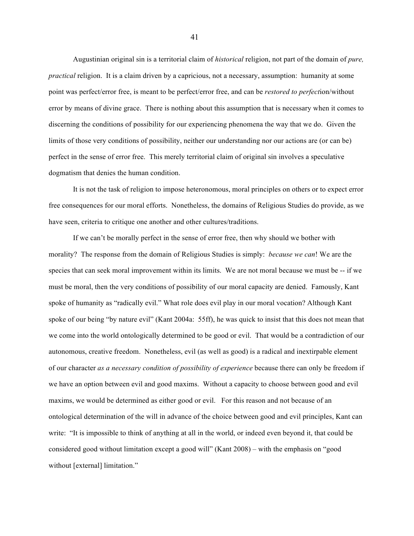Augustinian original sin is a territorial claim of *historical* religion, not part of the domain of *pure, practical* religion. It is a claim driven by a capricious, not a necessary, assumption: humanity at some point was perfect/error free, is meant to be perfect/error free, and can be *restored to perfect*ion/without error by means of divine grace. There is nothing about this assumption that is necessary when it comes to discerning the conditions of possibility for our experiencing phenomena the way that we do. Given the limits of those very conditions of possibility, neither our understanding nor our actions are (or can be) perfect in the sense of error free. This merely territorial claim of original sin involves a speculative dogmatism that denies the human condition.

It is not the task of religion to impose heteronomous, moral principles on others or to expect error free consequences for our moral efforts. Nonetheless, the domains of Religious Studies do provide, as we have seen, criteria to critique one another and other cultures/traditions.

If we can't be morally perfect in the sense of error free, then why should we bother with morality? The response from the domain of Religious Studies is simply: *because we can*! We are the species that can seek moral improvement within its limits. We are not moral because we must be -- if we must be moral, then the very conditions of possibility of our moral capacity are denied. Famously, Kant spoke of humanity as "radically evil." What role does evil play in our moral vocation? Although Kant spoke of our being "by nature evil" (Kant 2004a: 55ff), he was quick to insist that this does not mean that we come into the world ontologically determined to be good or evil. That would be a contradiction of our autonomous, creative freedom. Nonetheless, evil (as well as good) is a radical and inextirpable element of our character *as a necessary condition of possibility of experience* because there can only be freedom if we have an option between evil and good maxims. Without a capacity to choose between good and evil maxims, we would be determined as either good or evil. For this reason and not because of an ontological determination of the will in advance of the choice between good and evil principles, Kant can write: "It is impossible to think of anything at all in the world, or indeed even beyond it, that could be considered good without limitation except a good will" (Kant 2008) – with the emphasis on "good without [external] limitation."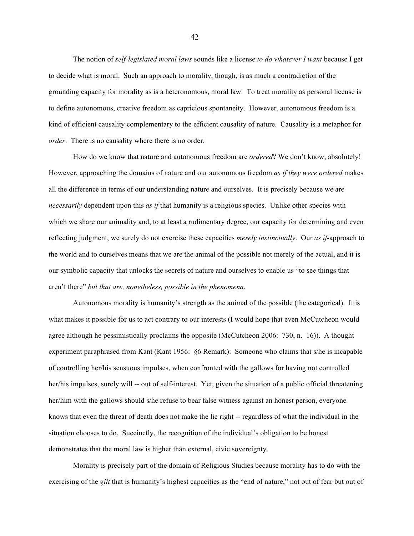The notion of *self-legislated moral laws* sounds like a license *to do whatever I want* because I get to decide what is moral. Such an approach to morality, though, is as much a contradiction of the grounding capacity for morality as is a heteronomous, moral law. To treat morality as personal license is to define autonomous, creative freedom as capricious spontaneity. However, autonomous freedom is a kind of efficient causality complementary to the efficient causality of nature. Causality is a metaphor for *order*. There is no causality where there is no order.

How do we know that nature and autonomous freedom are *ordered*? We don't know, absolutely! However, approaching the domains of nature and our autonomous freedom *as if they were ordered* makes all the difference in terms of our understanding nature and ourselves. It is precisely because we are *necessarily* dependent upon this *as if* that humanity is a religious species. Unlike other species with which we share our animality and, to at least a rudimentary degree, our capacity for determining and even reflecting judgment, we surely do not exercise these capacities *merely instinctually*. Our *as if*-approach to the world and to ourselves means that we are the animal of the possible not merely of the actual, and it is our symbolic capacity that unlocks the secrets of nature and ourselves to enable us "to see things that aren't there" *but that are, nonetheless, possible in the phenomena.* 

Autonomous morality is humanity's strength as the animal of the possible (the categorical). It is what makes it possible for us to act contrary to our interests (I would hope that even McCutcheon would agree although he pessimistically proclaims the opposite (McCutcheon 2006: 730, n. 16)). A thought experiment paraphrased from Kant (Kant 1956: §6 Remark): Someone who claims that s/he is incapable of controlling her/his sensuous impulses, when confronted with the gallows for having not controlled her/his impulses, surely will -- out of self-interest. Yet, given the situation of a public official threatening her/him with the gallows should s/he refuse to bear false witness against an honest person, everyone knows that even the threat of death does not make the lie right -- regardless of what the individual in the situation chooses to do. Succinctly, the recognition of the individual's obligation to be honest demonstrates that the moral law is higher than external, civic sovereignty.

Morality is precisely part of the domain of Religious Studies because morality has to do with the exercising of the *gift* that is humanity's highest capacities as the "end of nature," not out of fear but out of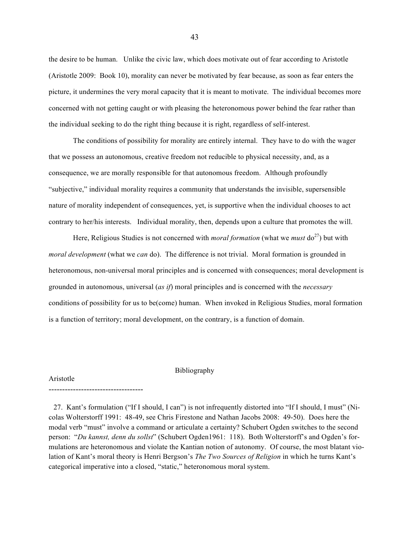the desire to be human. Unlike the civic law, which does motivate out of fear according to Aristotle (Aristotle 2009: Book 10), morality can never be motivated by fear because, as soon as fear enters the picture, it undermines the very moral capacity that it is meant to motivate. The individual becomes more concerned with not getting caught or with pleasing the heteronomous power behind the fear rather than the individual seeking to do the right thing because it is right, regardless of self-interest.

The conditions of possibility for morality are entirely internal. They have to do with the wager that we possess an autonomous, creative freedom not reducible to physical necessity, and, as a consequence, we are morally responsible for that autonomous freedom. Although profoundly "subjective," individual morality requires a community that understands the invisible, supersensible nature of morality independent of consequences, yet, is supportive when the individual chooses to act contrary to her/his interests. Individual morality, then, depends upon a culture that promotes the will.

Here, Religious Studies is not concerned with *moral formation* (what we *must* do<sup>27</sup>) but with *moral development* (what we *can* do). The difference is not trivial. Moral formation is grounded in heteronomous, non-universal moral principles and is concerned with consequences; moral development is grounded in autonomous, universal (*as if*) moral principles and is concerned with the *necessary* conditions of possibility for us to be(come) human. When invoked in Religious Studies, moral formation is a function of territory; moral development, on the contrary, is a function of domain.

### Bibliography

Aristotle

-----------------------------------

27. Kant's formulation ("If I should, I can") is not infrequently distorted into "If I should, I must" (Nicolas Wolterstorff 1991: 48-49, see Chris Firestone and Nathan Jacobs 2008: 49-50). Does here the modal verb "must" involve a command or articulate a certainty? Schubert Ogden switches to the second person: "*Du kannst, denn du sollst*" (Schubert Ogden1961: 118). Both Wolterstorff's and Ogden's formulations are heteronomous and violate the Kantian notion of autonomy. Of course, the most blatant violation of Kant's moral theory is Henri Bergson's *The Two Sources of Religion* in which he turns Kant's categorical imperative into a closed, "static," heteronomous moral system.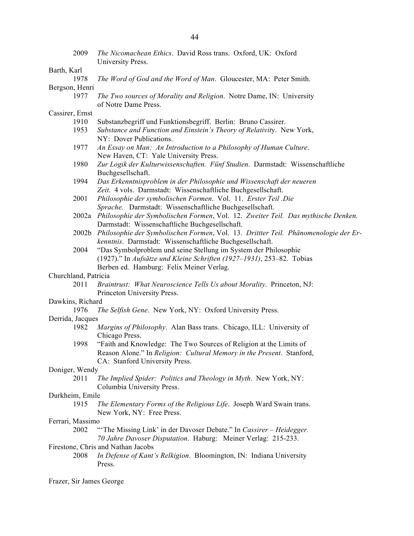| 2009                 | The Nicomachean Ethics. David Ross trans. Oxford, UK: Oxford<br>University Press.                                                                     |
|----------------------|-------------------------------------------------------------------------------------------------------------------------------------------------------|
| Barth, Karl          |                                                                                                                                                       |
| 1978                 | The Word of God and the Word of Man. Gloucester, MA: Peter Smith.                                                                                     |
| Bergson, Henri       |                                                                                                                                                       |
| 1977                 | The Two sources of Morality and Religion. Notre Dame, IN: University<br>of Notre Dame Press.                                                          |
| Cassirer, Ernst      |                                                                                                                                                       |
| 1910                 | Substanzbegriff und Funktionsbegriff. Berlin: Bruno Cassirer.                                                                                         |
| 1953                 | Substance and Function and Einstein's Theory of Relativity. New York,<br>NY: Dover Publications.                                                      |
| 1977                 | An Essay on Man: An Introduction to a Philosophy of Human Culture.                                                                                    |
|                      | New Haven, CT: Yale University Press.                                                                                                                 |
| 1980                 | Zur Logik der Kulturwissenschaften. Fünf Studien. Darmstadt: Wissenschaftliche<br>Buchgesellschaft.                                                   |
| 1994                 | Das Erkenntnisproblem in der Philosophie und Wissenschaft der neueren<br>Zeit. 4 vols. Darmstadt: Wissenschaftliche Buchgesellschaft.                 |
| 2001                 | Philosophie der symbolischen Formen. Vol. 11. Erster Teil .Die                                                                                        |
|                      | Sprache. Darmstadt: Wissenschaftliche Buchgesellschaft.                                                                                               |
|                      | 2002a Philosophie der Symbolischen Formen, Vol. 12. Zweiter Teil. Das mythische Denken.                                                               |
|                      | Darmstadt: Wissenschaftliche Buchgesellschaft.                                                                                                        |
|                      | 2002b Philosophie der Symbolischen Formen, Vol. 13. Drittter Teil. Phänomenologie der Er-<br>kenntnis. Darmstadt: Wissenschaftliche Buchgesellschaft. |
| 2004                 | "Das Symbolproblem und seine Stellung im System der Philosophie                                                                                       |
|                      | (1927)." In Aufsätze und Kleine Schriften (1927–1931), 253–82. Tobias                                                                                 |
|                      | Berben ed. Hamburg: Felix Meiner Verlag.                                                                                                              |
| Churchland, Patricia |                                                                                                                                                       |
| 2011                 | Braintrust: What Neuroscience Tells Us about Morality. Princeton, NJ:                                                                                 |
|                      | Princeton University Press.                                                                                                                           |
| Dawkins, Richard     |                                                                                                                                                       |
| 1976                 | The Selfish Gene. New York, NY: Oxford University Press.                                                                                              |
| Derrida, Jacques     |                                                                                                                                                       |
| 1982                 | Margins of Philosophy. Alan Bass trans. Chicago, ILL: University of<br>Chicago Press.                                                                 |
| 1998                 | "Faith and Knowledge: The Two Sources of Religion at the Limits of                                                                                    |
|                      | Reason Alone." In Religion: Cultural Memory in the Present. Stanford,                                                                                 |
|                      | CA: Stanford University Press.                                                                                                                        |
| Doniger, Wendy       |                                                                                                                                                       |
| 2011                 | The Implied Spider: Politics and Theology in Myth. New York, NY:<br>Columbia University Press.                                                        |
| Durkheim, Emile      |                                                                                                                                                       |
| 1915                 | The Elementary Forms of the Religious Life. Joseph Ward Swain trans.<br>New York, NY: Free Press.                                                     |
| Ferrari, Massimo     |                                                                                                                                                       |
| 2002                 | "The Missing Link' in der Davoser Debate." In Cassirer - Heidegger.<br>70 Jahre Davoser Disputation. Haburg: Meiner Verlag: 215-233.                  |
|                      | Firestone, Chris and Nathan Jacobs                                                                                                                    |
| 2008                 | In Defense of Kant's Relkigion. Bloomington, IN: Indiana University<br>Press.                                                                         |
|                      |                                                                                                                                                       |

Frazer, Sir James George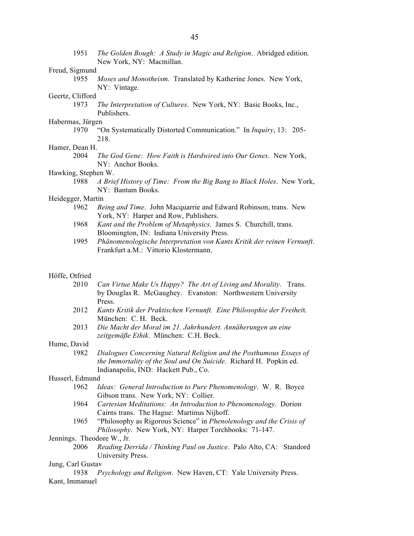1951 *The Golden Bough: A Study in Magic and Religion*. Abridged edition. New York, NY: Macmillan.

## Freud, Sigmund

1955 *Moses and Monotheism*. Translated by Katherine Jones. New York, NY: Vintage.

## Geertz, Clifford

1973 *The Interpretation of Cultures*. New York, NY: Basic Books, Inc., Publishers.

#### Habermas, Jürgen

1970 "On Systematically Distorted Communication." In *Inquiry*, 13: 205- 218.

## Hamer, Dean H.

2004 *The God Gene: How Faith is Hardwired into Our Genes*. New York, NY: Anchor Books.

#### Hawking, Stephen W.

1988 *A Brief History of Time: From the Big Bang to Black Holes*. New York, NY: Bantam Books.

## Heidegger, Martin

- 1962 *Being and Time*. John Macquarrie and Edward Robinson, trans. New York, NY: Harper and Row, Publishers.
- 1968 *Kant and the Problem of Metaphysics*. James S. Churchill, trans. Bloomington, IN: Indiana University Press.
- 1995 *Phänomenologische Interpretation von Kants Kritik der reinen Vernunft*. Frankfurt a.M.: Vittorio Klostermann.

## Höffe, Otfried

- 2010 *Can Virtue Make Us Happy? The Art of Living and Morality*. Trans. by Douglas R. McGaughey. Evanston: Northwestern University Press.
- 2012 *Kants Kritik der Praktischen Vernunft. Eine Philosophie der Freihei*t. München: C. H. Beck.
- 2013 *Die Macht der Moral im 21. Jahrhundert. Annäherungen an eine zeitgemäße Ethik*. München: C.H. Beck.

# Hume, David

1982 *Dialogues Concerning Natural Religion and the Posthumous Essays of the Immortality of the Soul and On Suicide*. Richard H. Popkin ed. Indianapolis, IND: Hackett Pub., Co.

## Husserl, Edmund

- 1962 *Ideas: General Introduction to Pure Phenomenology*. W. R. Boyce Gibson trans. New York, NY: Collier.
- 1964 *Cartesian Meditations: An Introduction to Phenomenology*. Dorion Cairns trans. The Hague: Martinus Nijhoff.
- 1965 "Philosophy as Rigorous Science" in *Phenolenology and the Crisis of Philosophy*. New York, NY: Harper Torchbooks: 71-147.

#### Jennings. Theodore W., Jr.

2006 *Reading Derrida / Thinking Paul on Justice*. Palo Alto, CA: Standord University Press.

#### Jung, Carl Gustav

1938 *Psychology and Religion*. New Haven, CT: Yale University Press. Kant, Immanuel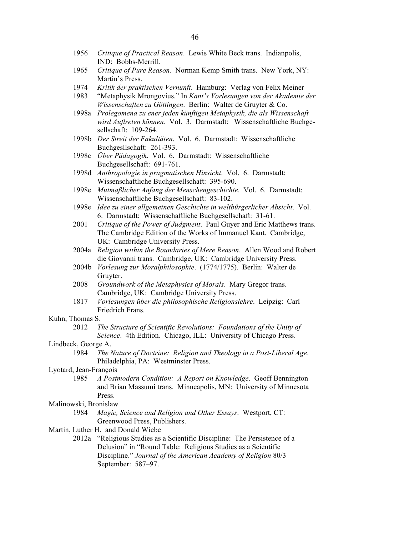- 1956 *Critique of Practical Reason*. Lewis White Beck trans. Indianpolis, IND: Bobbs-Merrill.
- 1965 *Critique of Pure Reason*. Norman Kemp Smith trans. New York, NY: Martin's Press.
- 1974 *Kritik der praktischen Vernunft*. Hamburg: Verlag von Felix Meiner
- 1983 "Metaphysik Mrongovius." In *Kant's Vorlesungen von der Akademie der Wissenschaften zu Göttingen*. Berlin: Walter de Gruyter & Co.
- 1998a *Prolegomena zu ener jeden künftigen Metaphysik, die als Wissenschaft wird Auftreten können*. Vol. 3. Darmstadt: Wissenschaftliche Buchgesellschaft: 109-264.
- 1998b *Der Streit der Fakultäten*. Vol. 6. Darmstadt: Wissenschaftliche Buchgesllschaft: 261-393.
- 1998c *Über Pädagogik*. Vol. 6. Darmstadt: Wissenschaftliche Buchgesellschaft: 691-761.
- 1998d *Anthropologie in pragmatischen Hinsicht*. Vol. 6. Darmstadt: Wissenschaftliche Buchgesellschaft: 395-690.
- 1998e *Mutmaßlicher Anfang der Menschengeschichte*. Vol. 6. Darmstadt: Wissenschaftliche Buchgesellschaft: 83-102.
- 1998e *Idee zu einer allgemeinen Geschichte in weltbürgerlicher Absicht*. Vol. 6. Darmstadt: Wissenschaftliche Buchgesellschaft: 31-61.
- 2001 *Critique of the Power of Judgment*. Paul Guyer and Eric Matthews trans. The Cambridge Edition of the Works of Immanuel Kant. Cambridge, UK: Cambridge University Press.
- 2004a *Religion within the Boundaries of Mere Reason*. Allen Wood and Robert die Giovanni trans. Cambridge, UK: Cambridge University Press.
- 2004b *Vorlesung zur Moralphilosophie*. (1774/1775). Berlin: Walter de Gruyter.
- 2008 *Groundwork of the Metaphysics of Morals*. Mary Gregor trans. Cambridge, UK: Cambridge University Press.
- 1817 *Vorlesungen über die philosophische Religionslehre*. Leipzig: Carl Friedrich Frans.

## Kuhn, Thomas S.

2012 *The Structure of Scientific Revolutions: Foundations of the Unity of Science*. 4th Edition. Chicago, ILL: University of Chicago Press.

## Lindbeck, George A.

- 1984 *The Nature of Doctrine: Religion and Theology in a Post-Liberal Age*. Philadelphia, PA: Westminster Press.
- Lyotard, Jean-François
	- 1985 *A Postmodern Condition: A Report on Knowledge*. Geoff Bennington and Brian Massumi trans. Minneapolis, MN: University of Minnesota Press.
- Malinowski, Bronislaw
	- 1984 *Magic, Science and Religion and Other Essays*. Westport, CT: Greenwood Press, Publishers.
- Martin, Luther H. and Donald Wiebe
	- 2012a "Religious Studies as a Scientific Discipline: The Persistence of a Delusion" in "Round Table: Religious Studies as a Scientific Discipline." *Journal of the American Academy of Religion* 80/3 September: 587–97.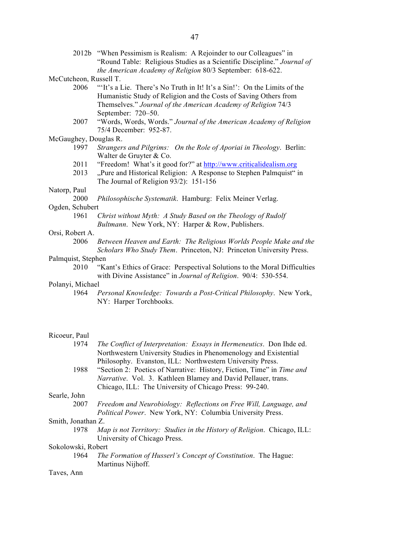2012b "When Pessimism is Realism: A Rejoinder to our Colleagues" in "Round Table: Religious Studies as a Scientific Discipline." *Journal of the American Academy of Religion* 80/3 September: 618-622.

McCutcheon, Russell T.

- 2006 "'It's a Lie. There's No Truth in It! It's a Sin!': On the Limits of the Humanistic Study of Religion and the Costs of Saving Others from Themselves." *Journal of the American Academy of Religion* 74/3 September: 720–50.
- 2007 "Words, Words, Words." *Journal of the American Academy of Religion* 75/4 December: 952-87.

### McGaughey, Douglas R.

- 1997 *Strangers and Pilgrims: On the Role of Aporiai in Theology*. Berlin: Walter de Gruyter & Co.
- 2011 "Freedom! What's it good for?" at http://www.criticalidealism.org
- 2013 . Pure and Historical Religion: A Response to Stephen Palmquist" in The Journal of Religion 93/2): 151-156

## Natorp, Paul

2000 *Philosophische Systematik*. Hamburg: Felix Meiner Verlag.

## Ogden, Schubert

1961 *Christ without Myth: A Study Based on the Theology of Rudolf Bultmann*. New York, NY: Harper & Row, Publishers.

## Orsi, Robert A.

2006 *Between Heaven and Earth: The Religious Worlds People Make and the Scholars Who Study Them*. Princeton, NJ: Princeton University Press.

## Palmquist, Stephen

2010 "Kant's Ethics of Grace: Perspectival Solutions to the Moral Difficulties with Divine Assistance" in *Journal of Religion*. 90/4: 530-554.

#### Polanyi, Michael

1964 *Personal Knowledge: Towards a Post-Critical Philosophy*. New York, NY: Harper Torchbooks.

#### Ricoeur, Paul

| 1974 | The Conflict of Interpretation: Essays in Hermeneutics. Don Ihde ed.  |
|------|-----------------------------------------------------------------------|
|      | Northwestern University Studies in Phenomenology and Existential      |
|      | Philosophy. Evanston, ILL: Northwestern University Press.             |
| 1988 | "Section 2: Poetics of Narrative: History, Fiction, Time" in Time and |
|      | <i>Narrative.</i> Vol. 3. Kathleen Blamey and David Pellauer, trans.  |

## Chicago, ILL: The University of Chicago Press: 99-240. Searle, John

| 2007 | Freedom and Neurobiology: Reflections on Free Will, Language, and |
|------|-------------------------------------------------------------------|
|      | <i>Political Power.</i> New York, NY: Columbia University Press.  |

#### Smith, Jonathan Z.

1978 *Map is not Territory: Studies in the History of Religion*. Chicago, ILL: University of Chicago Press.

## Sokolowski, Robert

1964 *The Formation of Husserl's Concept of Constitution*. The Hague: Martinus Nijhoff.

## Taves, Ann